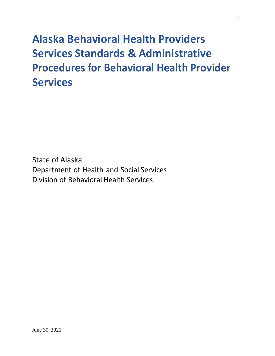# **Alaska Behavioral Health Providers Services Standards & Administrative Procedures for Behavioral Health Provider Services**

State of Alaska Department of Health and Social Services Division of Behavioral Health Services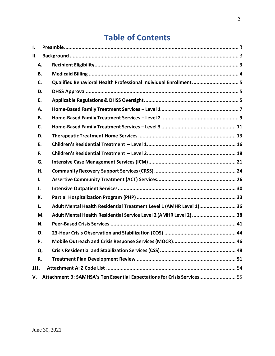# **Table of Contents**

| I. |    |                                                                          |
|----|----|--------------------------------------------------------------------------|
| П. |    |                                                                          |
|    | А. |                                                                          |
|    | В. |                                                                          |
|    | C. | Qualified Behavioral Health Professional Individual Enrollment 5         |
|    | D. |                                                                          |
|    | E. |                                                                          |
|    | А. |                                                                          |
|    | В. |                                                                          |
|    | C. |                                                                          |
|    | D. |                                                                          |
|    | Е. |                                                                          |
|    | F. |                                                                          |
|    | G. |                                                                          |
|    | Η. |                                                                          |
| ı. |    |                                                                          |
| J. |    |                                                                          |
|    | К. |                                                                          |
| L. |    | Adult Mental Health Residential Treatment Level 1 (AMHR Level 1) 36      |
|    | M. | Adult Mental Health Residential Service Level 2 (AMHR Level 2)  38       |
|    | N. |                                                                          |
|    | Ο. |                                                                          |
|    | Ρ. |                                                                          |
|    | Q. |                                                                          |
|    | R. |                                                                          |
| Ш. |    |                                                                          |
| V. |    | Attachment B: SAMHSA's Ten Essential Expectations for Crisis Services 55 |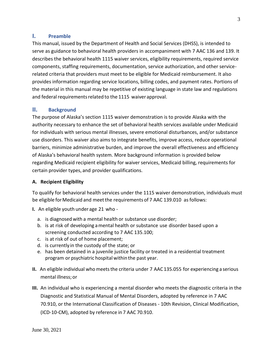#### <span id="page-2-0"></span>**I. Preamble**

This manual, issued by the Department of Health and Social Services (DHSS), is intended to serve as guidance to behavioral health providers in accompaniment with 7 AAC 136 and 139. It describes the behavioral health 1115 waiver services, eligibility requirements, required service components, staffing requirements, documentation, service authorization, and other servicerelated criteria that providers must meet to be eligible for Medicaid reimbursement. It also provides information regarding service locations, billing codes, and payment rates. Portions of the material in this manual may be repetitive of existing language in state law and regulations and federal requirements related to the 1115 waiver approval.

#### <span id="page-2-1"></span>**II. Background**

The purpose of Alaska's section 1115 waiver demonstration is to provide Alaska with the authority necessary to enhance the set of behavioral health services available under Medicaid for individuals with serious mental illnesses, severe emotional disturbances, and/or substance use disorders. This waiver also aims to integrate benefits, improve access, reduce operational barriers, minimize administrative burden, and improve the overall effectiveness and efficiency of Alaska's behavioral health system. More background information is provided below regarding Medicaid recipient eligibility for waiver services, Medicaid billing, requirements for certain provider types, and provider qualifications.

#### <span id="page-2-2"></span>**A. Recipient Eligibility**

To qualify for behavioral health services under the 1115 waiver demonstration, individuals must be eligible for Medicaid and meet the requirements of 7 AAC 139.010 as follows:

**I.** An eligible youth under age 21 who -

- a. is diagnosed with a mental health or substance use disorder;
- b. is at risk of developing amental health or substance use disorder based upon a screening conducted according to 7 AAC 135.100;
- c. is at risk of out of home placement;
- d. is currently in the custody of the state; or
- e. has been detained in a juvenile justice facility or treated in a residential treatment program or psychiatric hospital within the past year.
- **II.** An eligible individual who meets the criteria under 7 AAC 135.055 for experiencing a serious mental illness; or
- **III.** An individual who is experiencing a mental disorder who meets the diagnostic criteria in the Diagnostic and Statistical Manual of Mental Disorders, adopted by reference in 7 AAC 70.910, or the International Classification of Diseases - 10th Revision, Clinical Modification, (ICD-10-CM), adopted by reference in 7 AAC 70.910.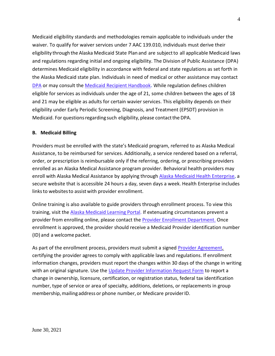Medicaid eligibility standards and methodologies remain applicable to individuals under the waiver. To qualify for waiver services under 7 AAC 139.010, individuals must derive their eligibility through the Alaska Medicaid State Plan and are subject to all applicable Medicaid laws and regulations regarding initial and ongoing eligibility. The Division of Public Assistance (DPA) determines Medicaid eligibility in accordance with federal and state regulations as set forth in the Alaska Medicaid state plan. Individuals in need of medical or other assistance may contact [DPA](http://dhss.alaska.gov/dpa/Pages/contacts.aspx) or may consult the [Medicaid Recipient Handbook](http://dhss.alaska.gov/dhcs/Documents/PDF/Recipient-Handbook.pdf)**.** While regulation defines children eligible for services as individuals under the age of 21, some children between the ages of 18 and 21 may be eligible as adults for certain wavier services. This eligibility depends on their eligibility under Early Periodic Screening, Diagnosis, and Treatment (EPSDT) provision in Medicaid. For questions regarding such eligibility, please contact the DPA.

#### <span id="page-3-0"></span>**B. Medicaid Billing**

Providers must be enrolled with the state's Medicaid program, referred to as Alaska Medical Assistance, to be reimbursed for services. Additionally, a service rendered based on a referral, order, or prescription is reimbursable only if the referring, ordering, or prescribing providers enrolled as an Alaska Medical Assistance program provider. Behavioral health providers may enroll with Alaska Medical Assistance by applying through Alaska Medicaid [Health Enterprise](https://www.medicaidalaska.com/portals/wps/portal/enterprise/providerlogin/!ut/p/c5/04_SB8K8xLLM9MSSzPy8xBz9CP0os3hXX-cwF3cfQwMLAz9LAyNjC0fvIFcDA99gA6B8JE75QHdzYnQb4ACOBgR0h4Nci992kDwe8_088nNT9QtyQyMMskwUAVCauhk!/dl3/d3/L2dBISEvZ0FBIS9nQSEh/)**,** a secure website that is accessible 24 hours a day, seven days a week. Health Enterprise includes links to websites to assist with provider enrollment.

Online training is also available to guide providers through enrollment process. To view this training, visit th[e Alaska Medicaid Learning Portal. I](http://manuals.medicaidalaska.com/docs/akmedicaidtraining.htm)f extenuating circumstances prevent a provider from enrolling online, please contact the **Provider Enrollment Department**. Once enrollment is approved, the provider should receive a Medicaid Provider identification number (ID) and a welcome packet.

As part of the enrollment process, providers must submit a signed [Provider Agreement,](http://manuals.medicaidalaska.com/docs/enrollmentforms.htm) certifying the provider agrees to comply with applicable laws and regulations. If enrollment information changes, providers must report the changes within 30 days of the change in writing with an original signature. Use the [Update Provider Information Request Form](http://manuals.medicaidalaska.com/docs/enrollmentforms.htm) to report a change in ownership, licensure, certification, or registration status, federal tax identification number, type of service or area of specialty, additions, deletions, or replacements in group membership, mailing address or phone number, or Medicare provider ID.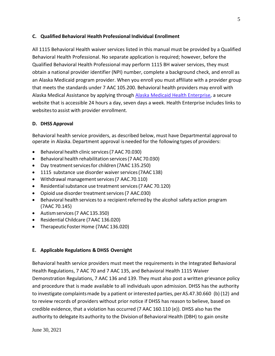#### <span id="page-4-0"></span>**C. Qualified Behavioral Health Professional Individual Enrollment**

All 1115 Behavioral Health waiver services listed in this manual must be provided by a Qualified Behavioral Health Professional. No separate application is required; however, before the Qualified Behavioral Health Professional may perform 1115 BH waiver services, they must obtain a national provider identifier (NPI) number, complete a background check, and enroll as an Alaska Medicaid program provider. When you enroll you must affiliate with a provider group that meets the standards under 7 AAC 105.200. Behavioral health providers may enroll with Alaska Medical Assistance by applying through [Alaska Medicaid Health Enterprise](https://www.medicaidalaska.com/portals/wps/portal/enterprise/providerlogin/!ut/p/c5/04_SB8K8xLLM9MSSzPy8xBz9CP0os3hXX-cwF3cfQwMLAz9LAyNjC0fvIFcDA99gA6B8JE75QHdzYnQb4ACOBgR0h4Nci992kDwe8_088nNT9QtyQyMMskwUAVCauhk!/dl3/d3/L2dBISEvZ0FBIS9nQSEh/)**,** a secure website that is accessible 24 hours a day, seven days a week. Health Enterprise includes links to websites to assist with provider enrollment.

#### <span id="page-4-1"></span>**D. DHSS Approval**

Behavioral health service providers, as described below, must have Departmental approval to operate in Alaska. Department approval is needed for the following types of providers:

- Behavioral health clinic services(7 AAC 70.030)
- Behavioral health rehabilitation services(7 AAC70.030)
- Day treatment services for children (7AAC 135.250)
- 1115 substance use disorder waiver services (7AAC 138)
- Withdrawal management services (7 AAC.70.110)
- Residential substance use treatment services (7 AAC 70.120)
- Opioid use disorder treatment services (7 AAC.030)
- Behavioral health services to a recipient referred by the alcohol safety action program (7AAC 70.145)
- Autismservices(7 AAC135.350)
- Residential Childcare (7AAC 136.020)
- TherapeuticFoster Home (7AAC 136.020)

#### <span id="page-4-2"></span>**E. Applicable Regulations & DHSS Oversight**

Behavioral health service providers must meet the requirements in the Integrated Behavioral Health Regulations, 7 AAC 70 and 7 AAC 135, and Behavioral Health 1115 Waiver Demonstration Regulations, 7 AAC 136 and 139. They must also post a written grievance policy and procedure that is made available to all individuals upon admission. DHSS has the authority to investigate complaints made by a patient or interested parties, per AS.47.30.660 (b) (12) and to review records of providers without prior notice if DHSS has reason to believe, based on credible evidence, that a violation has occurred (7 AAC 160.110 (e)). DHSS also has the authority to delegate its authority to the Division of Behavioral Health (DBH) to gain onsite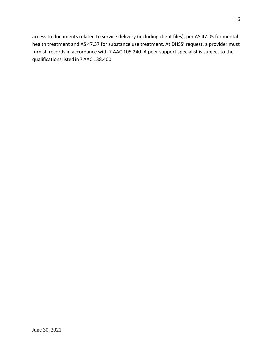access to documents related to service delivery (including client files), per AS 47.05 for mental health treatment and AS 47.37 for substance use treatment. At DHSS' request, a provider must furnish records in accordance with 7 AAC 105.240. A peer support specialist is subject to the qualifications listed in 7 AAC 138.400.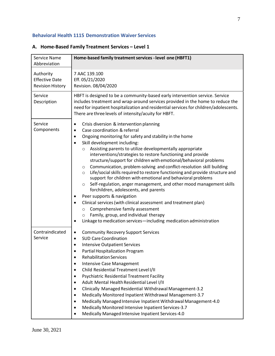#### **Behavioral Health 1115 Demonstration Waiver Services**

| Service Name<br>Abbreviation                                  | Home-based family treatment services - level one (HBFT1)                                                                                                                                                                                                                                                                                                                                                                                                                                                                                                                                                                                                                                                                                                                                                                                                                                                                                                                                                                                                                                                 |
|---------------------------------------------------------------|----------------------------------------------------------------------------------------------------------------------------------------------------------------------------------------------------------------------------------------------------------------------------------------------------------------------------------------------------------------------------------------------------------------------------------------------------------------------------------------------------------------------------------------------------------------------------------------------------------------------------------------------------------------------------------------------------------------------------------------------------------------------------------------------------------------------------------------------------------------------------------------------------------------------------------------------------------------------------------------------------------------------------------------------------------------------------------------------------------|
| Authority<br><b>Effective Date</b><br><b>Revision History</b> | 7 AAC 139.100<br>Eff. 05/21/2020<br>Revision. 08/04/2020                                                                                                                                                                                                                                                                                                                                                                                                                                                                                                                                                                                                                                                                                                                                                                                                                                                                                                                                                                                                                                                 |
| Service<br>Description                                        | HBFT is designed to be a community-based early intervention service. Service<br>includes treatment and wrap-around services provided in the home to reduce the<br>need for inpatient hospitalization and residential services for children/adolescents.<br>There are three levels of intensity/acuity for HBFT.                                                                                                                                                                                                                                                                                                                                                                                                                                                                                                                                                                                                                                                                                                                                                                                          |
| Service<br>Components                                         | Crisis diversion & intervention planning<br>$\bullet$<br>Case coordination & referral<br>$\bullet$<br>Ongoing monitoring for safety and stability in the home<br>$\bullet$<br>Skill development including:<br>$\bullet$<br>Assisting parents to utilize developmentally appropriate<br>$\circ$<br>interventions/strategies to restore functioning and provide<br>structure/support for children with emotional/behavioral problems<br>Communication, problem-solving and conflict-resolution skill building<br>O<br>Life/social skills required to restore functioning and provide structure and<br>$\circ$<br>support for children with emotional and behavioral problems<br>Self-regulation, anger management, and other mood management skills<br>$\circ$<br>forchildren, adolescents, and parents<br>Peer supports & navigation<br>$\bullet$<br>Clinical services (with clinical assessment and treatment plan)<br>$\bullet$<br>Comprehensive family assessment<br>$\circ$<br>Family, group, and individual therapy<br>$\circ$<br>Linkage to medication services-including medication administration |
| Contraindicated<br>Service                                    | <b>Community Recovery Support Services</b><br>$\bullet$<br><b>SUD Care Coordination</b><br>$\bullet$<br><b>Intensive Outpatient Services</b><br>$\bullet$<br>Partial Hospitalization Program<br><b>Rehabilitation Services</b><br><b>Intensive Case Management</b><br>Child Residential Treatment Level I/II<br>$\bullet$<br><b>Psychiatric Residential Treatment Facility</b><br>$\bullet$<br>Adult Mental Health Residential Level I/II<br>$\bullet$<br>Clinically Managed Residential Withdrawal Management-3.2<br>$\bullet$<br>Medically Monitored Inpatient Withdrawal Management-3.7<br>$\bullet$<br>Medically Managed Intensive Inpatient Withdrawal Management-4.0<br>Medically Monitored Intensive Inpatient Services-3.7<br>$\bullet$<br>Medically Managed Intensive Inpatient Services-4.0                                                                                                                                                                                                                                                                                                    |

#### <span id="page-6-0"></span>**A. Home-Based Family Treatment Services – Level 1**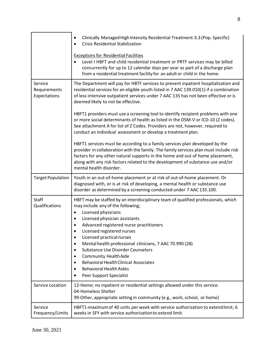|                                         | Clinically Managed High Intensity Residential Treatment-3.3 (Pop. Specific)<br>٠<br><b>Crisis Residential Stabilization</b>                                                                                                                                                                                                                                                                                                                                                                                                                                                      |
|-----------------------------------------|----------------------------------------------------------------------------------------------------------------------------------------------------------------------------------------------------------------------------------------------------------------------------------------------------------------------------------------------------------------------------------------------------------------------------------------------------------------------------------------------------------------------------------------------------------------------------------|
|                                         | <b>Exceptions for Residential Facilities</b><br>Level I HBFT and child residential treatment or PRTF services may be billed<br>concurrently for up to 12 calendar days per year as part of a discharge plan<br>from a residential treatment facility for an adult or child in the home.                                                                                                                                                                                                                                                                                          |
| Service<br>Requirements<br>Expectations | The Department will pay for HBTF services to prevent inpatient hospitalization and<br>residential services for an eligible youth listed in 7 AAC 139.010(1) if a combination<br>of less intensive outpatient services under 7 AAC 135 has not been effective or is<br>deemed likely to not be effective.                                                                                                                                                                                                                                                                         |
|                                         | HBFT1 providers must use a screening tool to identify recipient problems with one<br>or more social determinants of health as listed in the DSM-V or ICD-10 (Z codes).<br>See attachment A for list of Z Codes. Providers are not, however, required to<br>conduct an individual assessment or develop a treatment plan.                                                                                                                                                                                                                                                         |
|                                         | HBFT1 services must be according to a family services plan developed by the<br>provider in collaboration with the family. The family services plan must include risk<br>factors for any other natural supports in the home and out of home placement,<br>along with any risk factors related to the development of substance use and/or<br>mental health disorder.                                                                                                                                                                                                               |
| <b>Target Population</b>                | Youth in an out-of-home placement or at risk of out-of-home placement. Or<br>diagnosed with, or is at risk of developing, a mental health or substance use<br>disorder as determined by a screening conducted under 7 AAC 135.100.                                                                                                                                                                                                                                                                                                                                               |
| <b>Staff</b><br>Qualifications          | HBFT may be staffed by an interdisciplinary team of qualified professionals, which<br>may include any of the following;<br>Licensed physicians<br>٠<br>Licensed physician assistants<br>$\bullet$<br>Advanced registered nurse practitioners<br>Licensed registered nurses<br>Licensed practical nurses<br>٠<br>Mental health professional clinicians, 7 AAC 70.990 (28)<br>٠<br><b>Substance Use Disorder Counselors</b><br><b>Community Health Aide</b><br>٠<br><b>Behavioral Health Clinical Associates</b><br>٠<br><b>Behavioral Health Aides</b><br>Peer Support Specialist |
| Service Location                        | 12-Home; no inpatient or residential settings allowed under this service.                                                                                                                                                                                                                                                                                                                                                                                                                                                                                                        |
|                                         | 04-Homeless Shelter<br>99-Other, appropriate setting in community (e.g., work, school, or home)                                                                                                                                                                                                                                                                                                                                                                                                                                                                                  |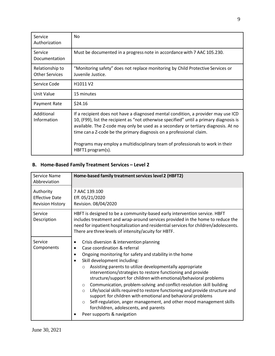| Service<br>Authorization                 | No.                                                                                                                                                                                                                                                                                                                                                                                                                                              |
|------------------------------------------|--------------------------------------------------------------------------------------------------------------------------------------------------------------------------------------------------------------------------------------------------------------------------------------------------------------------------------------------------------------------------------------------------------------------------------------------------|
| Service<br>Documentation                 | Must be documented in a progress note in accordance with 7 AAC 105.230.                                                                                                                                                                                                                                                                                                                                                                          |
| Relationship to<br><b>Other Services</b> | "Monitoring safety" does not replace monitoring by Child Protective Services or<br>Juvenile Justice.                                                                                                                                                                                                                                                                                                                                             |
| Service Code                             | H <sub>1011</sub> V <sub>2</sub>                                                                                                                                                                                                                                                                                                                                                                                                                 |
| Unit Value                               | 15 minutes                                                                                                                                                                                                                                                                                                                                                                                                                                       |
| Payment Rate                             | \$24.16                                                                                                                                                                                                                                                                                                                                                                                                                                          |
| Additional<br>Information                | If a recipient does not have a diagnosed mental condition, a provider may use ICD<br>10, (F99), list the recipient as "not otherwise specified" until a primary diagnosis is<br>available. The Z-code may only be used as a secondary or tertiary diagnosis. At no<br>time can a Z-code be the primary diagnosis on a professional claim.<br>Programs may employ a multidisciplinary team of professionals to work in their<br>HBFT1 program(s). |

9

#### <span id="page-8-0"></span>**B. Home-Based Family Treatment Services – Level 2**

| Service Name<br>Abbreviation                                  | Home-based family treatment services level 2 (HBFT2)                                                                                                                                                                                                                                                                                                                                                                                                                                                                                                                                                                                                                                                                                                                                                                              |
|---------------------------------------------------------------|-----------------------------------------------------------------------------------------------------------------------------------------------------------------------------------------------------------------------------------------------------------------------------------------------------------------------------------------------------------------------------------------------------------------------------------------------------------------------------------------------------------------------------------------------------------------------------------------------------------------------------------------------------------------------------------------------------------------------------------------------------------------------------------------------------------------------------------|
| Authority<br><b>Effective Date</b><br><b>Revision History</b> | 7 AAC 139.100<br>Eff. 05/21/2020<br>Revision. 08/04/2020                                                                                                                                                                                                                                                                                                                                                                                                                                                                                                                                                                                                                                                                                                                                                                          |
| Service<br>Description                                        | HBFT is designed to be a community-based early intervention service. HBFT<br>includes treatment and wrap-around services provided in the home to reduce the<br>need for inpatient hospitalization and residential services for children/adolescents.<br>There are three levels of intensity/acuity for HBTF.                                                                                                                                                                                                                                                                                                                                                                                                                                                                                                                      |
| Service<br>Components                                         | Crisis diversion & intervention planning<br>$\bullet$<br>Case coordination & referral<br>$\bullet$<br>Ongoing monitoring for safety and stability in the home<br>٠<br>Skill development including:<br>$\bullet$<br>Assisting parents to utilize developmentally appropriate<br>$\circ$<br>interventions/strategies to restore functioning and provide<br>structure/support for children with emotional/behavioral problems<br>Communication, problem-solving and conflict-resolution skill building<br>$\circ$<br>Life/social skills required to restore functioning and provide structure and<br>$\circ$<br>support for children with emotional and behavioral problems<br>Self-regulation, anger management, and other mood management skills<br>$\circ$<br>forchildren, adolescents, and parents<br>Peer supports & navigation |

June 30, 2021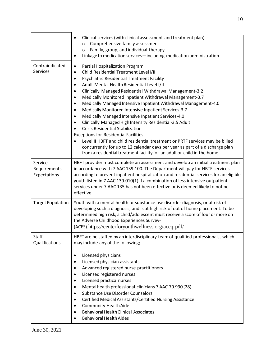|                                         | Clinical services (with clinical assessment and treatment plan)<br>Comprehensive family assessment<br>$\circ$<br>Family, group, and individual therapy<br>$\circ$<br>Linkage to medication services-including medication administration<br>٠                                                                                                                                                                                                                                                                                                                                                                                                                                                                                                                                                                                                                                                                                                                                        |
|-----------------------------------------|-------------------------------------------------------------------------------------------------------------------------------------------------------------------------------------------------------------------------------------------------------------------------------------------------------------------------------------------------------------------------------------------------------------------------------------------------------------------------------------------------------------------------------------------------------------------------------------------------------------------------------------------------------------------------------------------------------------------------------------------------------------------------------------------------------------------------------------------------------------------------------------------------------------------------------------------------------------------------------------|
| Contraindicated<br><b>Services</b>      | Partial Hospitalization Program<br>$\bullet$<br>Child Residential Treatment Level I/II<br>٠<br><b>Psychiatric Residential Treatment Facility</b><br>$\bullet$<br>Adult Mental Health Residential Level I/II<br>$\bullet$<br>Clinically Managed Residential Withdrawal Management-3.2<br>٠<br>Medically Monitored Inpatient Withdrawal Management-3.7<br>$\bullet$<br>Medically Managed Intensive Inpatient Withdrawal Management-4.0<br>$\bullet$<br>Medically Monitored Intensive Inpatient Services-3.7<br>Medically Managed Intensive Inpatient Services-4.0<br>٠<br>Clinically Managed High Intensity Residential-3.5 Adult<br>$\bullet$<br><b>Crisis Residential Stabilization</b><br><b>Exceptions for Residential Facilities</b><br>Level II HBFT and child residential treatment or PRTF services may be billed<br>concurrently for up to 12 calendar days per year as part of a discharge plan<br>from a residential treatment facility for an adult or child in the home. |
| Service<br>Requirements<br>Expectations | HBFT provider must complete an assessment and develop an initial treatment plan<br>in accordance with 7 AAC 139.100. The Department will pay for HBTF services<br>according to prevent inpatient hospitalization and residential services for an eligible<br>youth listed in 7 AAC 139.010(1) if a combination of less intensive outpatient<br>services under 7 AAC 135 has not been effective or is deemed likely to not be<br>effective.                                                                                                                                                                                                                                                                                                                                                                                                                                                                                                                                          |
| <b>Target Population</b>                | Youth with a mental health or substance use disorder diagnosis, or at risk of<br>developing such a diagnosis, and is at high risk of out of home placement. To be<br>determined high risk, a child/adolescent must receive a score of four or more on<br>the Adverse Childhood Experiences Survey-<br>(ACES).https://centerforyouthwellness.org/aceq-pdf/                                                                                                                                                                                                                                                                                                                                                                                                                                                                                                                                                                                                                           |
| <b>Staff</b><br>Qualifications          | HBFT are be staffed by an interdisciplinary team of qualified professionals, which<br>may include any of the following;                                                                                                                                                                                                                                                                                                                                                                                                                                                                                                                                                                                                                                                                                                                                                                                                                                                             |
|                                         | Licensed physicians<br>$\bullet$<br>Licensed physician assistants<br>٠<br>Advanced registered nurse practitioners<br>٠<br>Licensed registered nurses<br>٠<br>Licensed practical nurses<br>٠<br>Mental health professional clinicians 7 AAC 70.990 (28)<br>٠<br><b>Substance Use Disorder Counselors</b><br>٠<br>Certified Medical Assistants/Certified Nursing Assistance<br>٠<br><b>Community Health Aide</b><br>٠<br><b>Behavioral Health Clinical Associates</b><br><b>Behavioral Health Aides</b>                                                                                                                                                                                                                                                                                                                                                                                                                                                                               |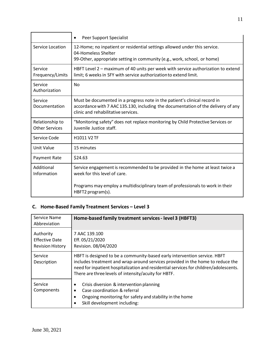|                                          | Peer Support Specialist<br>$\bullet$                                                                                                                                                                  |
|------------------------------------------|-------------------------------------------------------------------------------------------------------------------------------------------------------------------------------------------------------|
| Service Location                         | 12-Home; no inpatient or residential settings allowed under this service.<br>04-Homeless Shelter<br>99-Other, appropriate setting in community (e.g., work, school, or home)                          |
| Service<br>Frequency/Limits              | HBFT Level 2 – maximum of 40 units per week with service authorization to extend<br>limit; 6 weeks in SFY with service authorization to extend limit.                                                 |
| Service<br>Authorization                 | <b>No</b>                                                                                                                                                                                             |
| Service<br>Documentation                 | Must be documented in a progress note in the patient's clinical record in<br>accordance with 7 AAC 135.130, including the documentation of the delivery of any<br>clinic and rehabilitative services. |
| Relationship to<br><b>Other Services</b> | "Monitoring safety" does not replace monitoring by Child Protective Services or<br>Juvenile Justice staff.                                                                                            |
| Service Code                             | H1011 V2 TF                                                                                                                                                                                           |
| Unit Value                               | 15 minutes                                                                                                                                                                                            |
| Payment Rate                             | \$24.63                                                                                                                                                                                               |
| Additional<br>Information                | Service engagement is recommended to be provided in the home at least twice a<br>week for this level of care.                                                                                         |
|                                          | Programs may employ a multidisciplinary team of professionals to work in their<br>HBFT2 program(s).                                                                                                   |

# <span id="page-10-0"></span>**C. Home-Based Family Treatment Services – Level 3**

| Service Name<br>Abbreviation                                  | Home-based family treatment services - level 3 (HBFT3)                                                                                                                                                                                                                                                       |
|---------------------------------------------------------------|--------------------------------------------------------------------------------------------------------------------------------------------------------------------------------------------------------------------------------------------------------------------------------------------------------------|
| Authority<br><b>Effective Date</b><br><b>Revision History</b> | 7 AAC 139.100<br>Eff. 05/21/2020<br>Revision. 08/04/2020                                                                                                                                                                                                                                                     |
| Service<br>Description                                        | HBFT is designed to be a community-based early intervention service. HBFT<br>includes treatment and wrap-around services provided in the home to reduce the<br>need for inpatient hospitalization and residential services for children/adolescents.<br>There are three levels of intensity/acuity for HBTF. |
| Service<br>Components                                         | Crisis diversion & intervention planning<br>٠<br>Case coordination & referral<br>$\bullet$<br>Ongoing monitoring for safety and stability in the home<br>$\bullet$<br>Skill development including:<br>$\bullet$                                                                                              |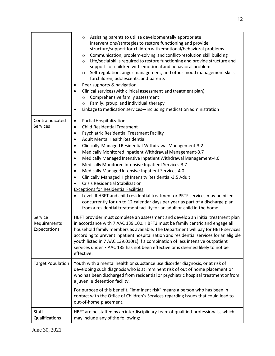|                                         | Assisting parents to utilize developmentally appropriate<br>$\circ$<br>interventions/strategies to restore functioning and provide<br>structure/support for children with emotional/behavioral problems<br>Communication, problem-solving and conflict-resolution skill building<br>$\circ$<br>Life/social skills required to restore functioning and provide structure and<br>$\circ$<br>support for children with emotional and behavioral problems<br>Self-regulation, anger management, and other mood management skills<br>$\circ$<br>forchildren, adolescents, and parents<br>Peer supports & navigation<br>Clinical services (with clinical assessment and treatment plan)<br>$\bullet$<br>Comprehensive family assessment<br>$\circ$<br>Family, group, and individual therapy<br>$\circ$<br>Linkage to medication services-including medication administration<br>٠                                                                                                                                                 |
|-----------------------------------------|-----------------------------------------------------------------------------------------------------------------------------------------------------------------------------------------------------------------------------------------------------------------------------------------------------------------------------------------------------------------------------------------------------------------------------------------------------------------------------------------------------------------------------------------------------------------------------------------------------------------------------------------------------------------------------------------------------------------------------------------------------------------------------------------------------------------------------------------------------------------------------------------------------------------------------------------------------------------------------------------------------------------------------|
| Contraindicated<br><b>Services</b>      | Partial Hospitalization<br>$\bullet$<br><b>Child Residential Treatment</b><br>$\bullet$<br><b>Psychiatric Residential Treatment Facility</b><br>$\bullet$<br><b>Adult Mental Health Residential</b><br>$\bullet$<br>Clinically Managed Residential Withdrawal Management-3.2<br>$\bullet$<br>Medically Monitored Inpatient Withdrawal Management-3.7<br>$\bullet$<br>Medically Managed Intensive Inpatient Withdrawal Management-4.0<br>$\bullet$<br>Medically Monitored Intensive Inpatient Services-3.7<br>$\bullet$<br>Medically Managed Intensive Inpatient Services-4.0<br>٠<br>Clinically Managed High Intensity Residential-3.5 Adult<br>$\bullet$<br><b>Crisis Residential Stabilization</b><br>$\bullet$<br><b>Exceptions for Residential Facilities</b><br>Level III HBFT and child residential treatment or PRTF services may be billed<br>$\bullet$<br>concurrently for up to 12 calendar days per year as part of a discharge plan<br>from a residential treatment facility for an adult or child in the home. |
| Service<br>Requirements<br>Expectations | HBFT provider must complete an assessment and develop an initial treatment plan<br>in accordance with 7 AAC 139.100. HBFT3 must be family centric and engage all<br>household family members as available. The Department will pay for HBTF services<br>according to prevent inpatient hospitalization and residential services for an eligible<br>youth listed in 7 AAC 139.010(1) if a combination of less intensive outpatient<br>services under 7 AAC 135 has not been effective or is deemed likely to not be<br>effective.                                                                                                                                                                                                                                                                                                                                                                                                                                                                                            |
| <b>Target Population</b>                | Youth with a mental health or substance use disorder diagnosis, or at risk of<br>developing such diagnosis who is at imminent risk of out of home placement or<br>who has been discharged from residential or psychiatric hospital treatment or from<br>a juvenile detention facility.<br>For purpose of this benefit, "imminent risk" means a person who has been in<br>contact with the Office of Children's Services regarding issues that could lead to<br>out-of-home placement.                                                                                                                                                                                                                                                                                                                                                                                                                                                                                                                                       |
| <b>Staff</b><br>Qualifications          | HBFT are be staffed by an interdisciplinary team of qualified professionals, which<br>may include any of the following:                                                                                                                                                                                                                                                                                                                                                                                                                                                                                                                                                                                                                                                                                                                                                                                                                                                                                                     |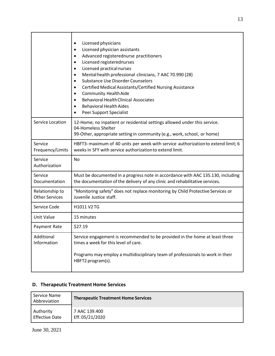|                                          | Licensed physicians<br>Licensed physician assistants<br>Advanced registerednurse practitioners<br>Licensed registerednurses<br>$\bullet$<br>Licensed practical nurses<br>$\bullet$<br>Mental health professional clinicians, 7 AAC 70.990 (28)<br><b>Substance Use Disorder Counselors</b><br>Certified Medical Assistants/Certified Nursing Assistance<br><b>Community Health Aide</b><br><b>Behavioral Health Clinical Associates</b><br><b>Behavioral Health Aides</b><br>$\bullet$<br>Peer Support Specialist |
|------------------------------------------|-------------------------------------------------------------------------------------------------------------------------------------------------------------------------------------------------------------------------------------------------------------------------------------------------------------------------------------------------------------------------------------------------------------------------------------------------------------------------------------------------------------------|
| Service Location                         | 12-Home; no inpatient or residential settings allowed under this service.<br>04-Homeless Shelter<br>99-Other, appropriate setting in community (e.g., work, school, or home)                                                                                                                                                                                                                                                                                                                                      |
| Service<br>Frequency/Limits              | HBFT3-maximum of 40 units per week with service authorization to extend limit; 6<br>weeks in SFY with service authorization to extend limit.                                                                                                                                                                                                                                                                                                                                                                      |
| Service<br>Authorization                 | No                                                                                                                                                                                                                                                                                                                                                                                                                                                                                                                |
| Service<br>Documentation                 | Must be documented in a progress note in accordance with AAC 135.130, including<br>the documentation of the delivery of any clinic and rehabilitative services.                                                                                                                                                                                                                                                                                                                                                   |
| Relationship to<br><b>Other Services</b> | "Monitoring safety" does not replace monitoring by Child Protective Services or<br>Juvenile Justice staff.                                                                                                                                                                                                                                                                                                                                                                                                        |
| Service Code                             | H1011 V2 TG                                                                                                                                                                                                                                                                                                                                                                                                                                                                                                       |
| Unit Value                               | 15 minutes                                                                                                                                                                                                                                                                                                                                                                                                                                                                                                        |
| Payment Rate                             | \$27.19                                                                                                                                                                                                                                                                                                                                                                                                                                                                                                           |
| Additional<br>Information                | Service engagement is recommended to be provided in the home at least three<br>times a week for this level of care.<br>Programs may employ a multidisciplinary team of professionals to work in their<br>HBFT2 program(s).                                                                                                                                                                                                                                                                                        |

# <span id="page-12-0"></span>**D. Therapeutic Treatment Home Services**

| Service Name<br>Abbreviation | <b>Therapeutic Treatment Home Services</b> |
|------------------------------|--------------------------------------------|
| Authority                    | 7 AAC 139.400                              |
| <b>Effective Date</b>        | Eff. 05/21/2020                            |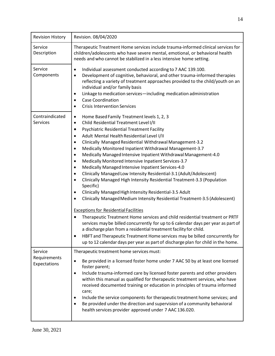| <b>Revision History</b>      | Revision. 08/04/2020                                                                                                                                                                                                                                                                                                                                                                                                                                                                                                                                                                                                                                                                                                                                                                                                                                                                                                                                                                                                                                                                                                                                                                                                                                                                                                                                                                               |
|------------------------------|----------------------------------------------------------------------------------------------------------------------------------------------------------------------------------------------------------------------------------------------------------------------------------------------------------------------------------------------------------------------------------------------------------------------------------------------------------------------------------------------------------------------------------------------------------------------------------------------------------------------------------------------------------------------------------------------------------------------------------------------------------------------------------------------------------------------------------------------------------------------------------------------------------------------------------------------------------------------------------------------------------------------------------------------------------------------------------------------------------------------------------------------------------------------------------------------------------------------------------------------------------------------------------------------------------------------------------------------------------------------------------------------------|
| Service<br>Description       | Therapeutic Treatment Home services include trauma-informed clinical services for<br>children/adolescents who have severe mental, emotional, or behavioral health<br>needs and who cannot be stabilized in a less intensive home setting.                                                                                                                                                                                                                                                                                                                                                                                                                                                                                                                                                                                                                                                                                                                                                                                                                                                                                                                                                                                                                                                                                                                                                          |
| Service<br>Components        | Individual assessment conducted according to 7 AAC 139.100.<br>$\bullet$<br>Development of cognitive, behavioral, and other trauma-informed therapies<br>$\bullet$<br>reflecting a variety of treatment approaches provided to the child/youth on an<br>individual and/or family basis<br>Linkage to medication services-including medication administration<br>٠<br><b>Case Coordination</b><br>٠<br><b>Crisis Intervention Services</b><br>$\bullet$                                                                                                                                                                                                                                                                                                                                                                                                                                                                                                                                                                                                                                                                                                                                                                                                                                                                                                                                             |
| Contraindicated<br>Services  | Home Based Family Treatment levels 1, 2, 3<br>$\bullet$<br>Child Residential Treatment Level I/II<br>٠<br>Psychiatric Residential Treatment Facility<br>٠<br>Adult Mental Health Residential Level I/II<br>٠<br>Clinically Managed Residential Withdrawal Management-3.2<br>٠<br>Medically Monitored Inpatient Withdrawal Management-3.7<br>٠<br>Medically Managed Intensive Inpatient Withdrawal Management-4.0<br>$\bullet$<br>Medically Monitored Intensive Inpatient Services-3.7<br>$\bullet$<br>Medically Managed Intensive Inpatient Services-4.0<br>$\bullet$<br>Clinically Managed Low Intensity Residential-3.1 (Adult/Adolescent)<br>$\bullet$<br>Clinically Managed High Intensity Residential Treatment-3.3 (Population<br>$\bullet$<br>Specific)<br>Clinically Managed High Intensity Residential-3.5 Adult<br>٠<br>Clinically Managed Medium Intensity Residential Treatment-3.5 (Adolescent)<br>$\bullet$<br><b>Exceptions for Residential Facilities</b><br>Therapeutic Treatment Home services and child residential treatment or PRTF<br>$\bullet$<br>services may be billed concurrently for up to 6 calendar days per year as part of<br>a discharge plan from a residential treatment facility for child.<br>HBFT and Therapeutic Treatment Home services may be billed concurrently for<br>up to 12 calendar days per year as part of discharge plan for child in the home. |
| Service                      | Therapeutic treatment home services must:                                                                                                                                                                                                                                                                                                                                                                                                                                                                                                                                                                                                                                                                                                                                                                                                                                                                                                                                                                                                                                                                                                                                                                                                                                                                                                                                                          |
| Requirements<br>Expectations | Be provided in a licensed foster home under 7 AAC 50 by at least one licensed<br>$\bullet$<br>foster parent;<br>Include trauma-informed care by licensed foster parents and other providers<br>$\bullet$<br>within this manual as qualified for therapeutic treatment services, who have<br>received documented training or education in principles of trauma informed<br>care;<br>Include the service components for therapeutic treatment home services; and<br>٠<br>Be provided under the direction and supervision of a community behavioral<br>$\bullet$<br>health services provider approved under 7 AAC 136.020.                                                                                                                                                                                                                                                                                                                                                                                                                                                                                                                                                                                                                                                                                                                                                                            |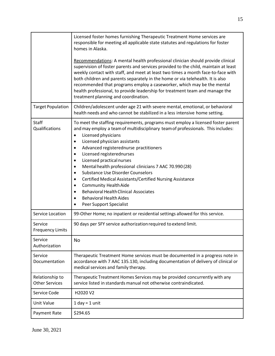|                                          | Licensed foster homes furnishing Therapeutic Treatment Home services are<br>responsible for meeting all applicable state statutes and regulations for foster<br>homes in Alaska.                                                                                                                                                                                                                                                                                                                                                                                                                                                                                                                                                                                              |
|------------------------------------------|-------------------------------------------------------------------------------------------------------------------------------------------------------------------------------------------------------------------------------------------------------------------------------------------------------------------------------------------------------------------------------------------------------------------------------------------------------------------------------------------------------------------------------------------------------------------------------------------------------------------------------------------------------------------------------------------------------------------------------------------------------------------------------|
|                                          | Recommendations: A mental health professional clinician should provide clinical<br>supervision of foster parents and services provided to the child, maintain at least<br>weekly contact with staff, and meet at least two times a month face-to-face with<br>both children and parents separately in the home or via telehealth. It is also<br>recommended that programs employ a caseworker, which may be the mental<br>health professional, to provide leadership for treatment team and manage the<br>treatment planning and coordination.                                                                                                                                                                                                                                |
| <b>Target Population</b>                 | Children/adolescent under age 21 with severe mental, emotional, or behavioral<br>health needs and who cannot be stabilized in a less intensive home setting.                                                                                                                                                                                                                                                                                                                                                                                                                                                                                                                                                                                                                  |
| Staff<br>Qualifications                  | To meet the staffing requirements, programs must employ a licensed foster parent<br>and may employ a team of multidisciplinary team of professionals. This includes:<br>Licensed physicians<br>$\bullet$<br>Licensed physician assistants<br>٠<br>Advanced registerednurse practitioners<br>٠<br>Licensed registerednurses<br>٠<br>Licensed practical nurses<br>$\bullet$<br>Mental health professional clinicians 7 AAC 70.990 (28)<br>$\bullet$<br><b>Substance Use Disorder Counselors</b><br>$\bullet$<br>Certified Medical Assistants/Certified Nursing Assistance<br>$\bullet$<br><b>Community Health Aide</b><br>٠<br><b>Behavioral Health Clinical Associates</b><br>$\bullet$<br><b>Behavioral Health Aides</b><br>$\bullet$<br>Peer Support Specialist<br>$\bullet$ |
| Service Location                         | 99-Other Home; no inpatient or residential settings allowed for this service.                                                                                                                                                                                                                                                                                                                                                                                                                                                                                                                                                                                                                                                                                                 |
| Service<br><b>Frequency Limits</b>       | 90 days per SFY service authorization required to extend limit.                                                                                                                                                                                                                                                                                                                                                                                                                                                                                                                                                                                                                                                                                                               |
| Service<br>Authorization                 | No                                                                                                                                                                                                                                                                                                                                                                                                                                                                                                                                                                                                                                                                                                                                                                            |
| Service<br>Documentation                 | Therapeutic Treatment Home services must be documented in a progress note in<br>accordance with 7 AAC 135.130, including documentation of delivery of clinical or<br>medical services and family therapy.                                                                                                                                                                                                                                                                                                                                                                                                                                                                                                                                                                     |
| Relationship to<br><b>Other Services</b> | Therapeutic Treatment Homes Services may be provided concurrently with any<br>service listed in standards manual not otherwise contraindicated.                                                                                                                                                                                                                                                                                                                                                                                                                                                                                                                                                                                                                               |
| Service Code                             | H2020 V2                                                                                                                                                                                                                                                                                                                                                                                                                                                                                                                                                                                                                                                                                                                                                                      |
| Unit Value                               | $1$ day = $1$ unit                                                                                                                                                                                                                                                                                                                                                                                                                                                                                                                                                                                                                                                                                                                                                            |
| Payment Rate                             | \$294.65                                                                                                                                                                                                                                                                                                                                                                                                                                                                                                                                                                                                                                                                                                                                                                      |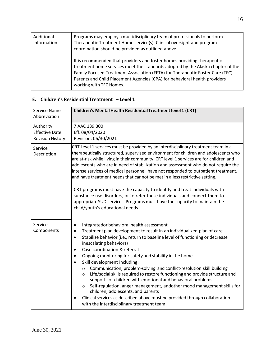| Additional<br>Information | Programs may employ a multidisciplinary team of professionals to perform<br>Therapeutic Treatment Home service(s). Clinical oversight and program<br>coordination should be provided as outlined above.                                                                                                                                              |
|---------------------------|------------------------------------------------------------------------------------------------------------------------------------------------------------------------------------------------------------------------------------------------------------------------------------------------------------------------------------------------------|
|                           | It is recommended that providers and foster homes providing therapeutic<br>treatment home services meet the standards adopted by the Alaska chapter of the<br>Family Focused Treatment Association (FFTA) for Therapeutic Foster Care (TFC)<br>Parents and Child Placement Agencies (CPA) for behavioral health providers<br>working with TFC Homes. |

#### <span id="page-15-0"></span>**E. Children's Residential Treatment – Level 1**

| Service Name<br>Abbreviation                                  | <b>Children's Mental Health Residential Treatment level 1 (CRT)</b>                                                                                                                                                                                                                                                                                                                                                                                                                                                                                                                                                                                                                                                                                                                                                                                                                                                                           |
|---------------------------------------------------------------|-----------------------------------------------------------------------------------------------------------------------------------------------------------------------------------------------------------------------------------------------------------------------------------------------------------------------------------------------------------------------------------------------------------------------------------------------------------------------------------------------------------------------------------------------------------------------------------------------------------------------------------------------------------------------------------------------------------------------------------------------------------------------------------------------------------------------------------------------------------------------------------------------------------------------------------------------|
| Authority<br><b>Effective Date</b><br><b>Revision History</b> | 7 AAC 139.300<br>Eff. 08/04/2020<br>Revision: 06/30/2021                                                                                                                                                                                                                                                                                                                                                                                                                                                                                                                                                                                                                                                                                                                                                                                                                                                                                      |
| Service<br>Description                                        | CRT Level 1 services must be provided by an interdisciplinary treatment team in a<br>therapeutically structured, supervised environment for children and adolescents who<br>are at-risk while living in their community. CRT level 1 services are for children and<br>adolescents who are in need of stabilization and assessment who do not require the<br>intense services of medical personnel, have not responded to outpatient treatment,<br>and have treatment needs that cannot be met in a less restrictive setting.<br>CRT programs must have the capacity to identify and treat individuals with<br>substance use disorders, or to refer these individuals and connect them to<br>appropriate SUD services. Programs must have the capacity to maintain the<br>child/youth's educational needs.                                                                                                                                     |
| Service<br>Components                                         | Integratedor behavioral health assessment<br>$\bullet$<br>Treatment plan development to result in an individualized plan of care<br>$\bullet$<br>Stabilize behavior (i.e., return to baseline level of functioning or decrease<br>$\bullet$<br>inescalating behaviors)<br>Case coordination & referral<br>$\bullet$<br>Ongoing monitoring for safety and stability in the home<br>$\bullet$<br>Skill development including:<br>Communication, problem-solving and conflict-resolution skill building<br>$\circ$<br>Life/social skills required to restore functioning and provide structure and<br>$\circ$<br>support for children with emotional and behavioral problems<br>Self-regulation, anger management, andother mood management skills for<br>$\circ$<br>children, adolescents, and parents<br>Clinical services as described above must be provided through collaboration<br>$\bullet$<br>with the interdisciplinary treatment team |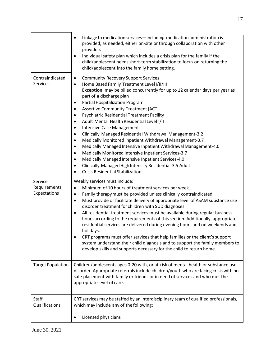|                                         | Linkage to medication services-including medication administration is<br>provided, as needed, either on-site or through collaboration with other<br>providers<br>Individual safety plan which includes a crisis plan for the family if the<br>child/adolescent needs short-term stabilization to focus on returning the<br>child/adolescent into the family home setting.                                                                                                                                                                                                                                                                                                                                                                                                                                                                                                                                                                                                             |
|-----------------------------------------|---------------------------------------------------------------------------------------------------------------------------------------------------------------------------------------------------------------------------------------------------------------------------------------------------------------------------------------------------------------------------------------------------------------------------------------------------------------------------------------------------------------------------------------------------------------------------------------------------------------------------------------------------------------------------------------------------------------------------------------------------------------------------------------------------------------------------------------------------------------------------------------------------------------------------------------------------------------------------------------|
| Contraindicated<br>Services             | <b>Community Recovery Support Services</b><br>$\bullet$<br>Home Based Family Treatment Level I/II/III<br>$\bullet$<br>Exception: may be billed concurrently for up to 12 calendar days per year as<br>part of a discharge plan<br>Partial Hospitalization Program<br>٠<br><b>Assertive Community Treatment (ACT)</b><br>٠<br>Psychiatric Residential Treatment Facility<br>$\bullet$<br>Adult Mental Health Residential Level I/II<br>$\bullet$<br>Intensive Case Management<br>$\bullet$<br>Clinically Managed Residential Withdrawal Management-3.2<br>$\bullet$<br>Medically Monitored Inpatient Withdrawal Management-3.7<br>$\bullet$<br>Medically Managed Intensive Inpatient Withdrawal Management-4.0<br>$\bullet$<br>Medically Monitored Intensive Inpatient Services-3.7<br>$\bullet$<br>Medically Managed Intensive Inpatient Services-4.0<br>$\bullet$<br>Clinically Managed High Intensity Residential-3.5 Adult<br>$\bullet$<br><b>Crisis Residential Stabilization</b> |
| Service<br>Requirements<br>Expectations | Weekly services must include:<br>Minimum of 10 hours of treatment services per week.<br>$\bullet$<br>Family therapy must be provided unless clinically contraindicated.<br>$\bullet$<br>Must provide or facilitate delivery of appropriate level of ASAM substance use<br>$\bullet$<br>disorder treatment for children with SUD diagnoses<br>All residential treatment services must be available during regular business<br>$\bullet$<br>hours according to the requirements of this section. Additionally, appropriate<br>residential services are delivered during evening hours and on weekends and<br>holidays.<br>CRT programs must offer services that help families or the client's support<br>system understand their child diagnosis and to support the family members to<br>develop skills and supports necessary for the child to return home.                                                                                                                            |
| <b>Target Population</b>                | Children/adolescents ages 0-20 with, or at-risk of mental health or substance use<br>disorder. Appropriate referrals include children/youth who are facing crisis with no<br>safe placement with family or friends or in need of services and who met the<br>appropriate level of care.                                                                                                                                                                                                                                                                                                                                                                                                                                                                                                                                                                                                                                                                                               |
| Staff<br>Qualifications                 | CRT services may be staffed by an interdisciplinary team of qualified professionals,<br>which may include any of the following;                                                                                                                                                                                                                                                                                                                                                                                                                                                                                                                                                                                                                                                                                                                                                                                                                                                       |
|                                         | Licensed physicians                                                                                                                                                                                                                                                                                                                                                                                                                                                                                                                                                                                                                                                                                                                                                                                                                                                                                                                                                                   |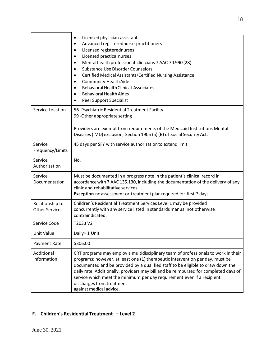|                                          | Licensed physician assistants<br>$\bullet$<br>Advanced registerednurse practitioners<br>$\bullet$<br>Licensed registerednurses<br>$\bullet$<br>Licensed practical nurses<br>$\bullet$<br>Mental health professional clinicians 7 AAC 70.990 (28)<br>$\bullet$<br><b>Substance Use Disorder Counselors</b><br>$\bullet$<br>Certified Medical Assistants/Certified Nursing Assistance<br>$\bullet$<br><b>Community Health Aide</b><br>$\bullet$<br><b>Behavioral Health Clinical Associates</b><br>$\bullet$<br><b>Behavioral Health Aides</b><br>Peer Support Specialist |
|------------------------------------------|-------------------------------------------------------------------------------------------------------------------------------------------------------------------------------------------------------------------------------------------------------------------------------------------------------------------------------------------------------------------------------------------------------------------------------------------------------------------------------------------------------------------------------------------------------------------------|
| Service Location                         | 56- Psychiatric Residential Treatment Facility<br>99 - Other appropriate setting<br>Providers are exempt from requirements of the Medicaid Institutions Mental<br>Diseases (IMD) exclusion, Section 1905 (a) (B) of Social Security Act.                                                                                                                                                                                                                                                                                                                                |
| Service<br>Frequency/Limits              | 45 days per SFY with service authorization to extend limit                                                                                                                                                                                                                                                                                                                                                                                                                                                                                                              |
| Service<br>Authorization                 | No.                                                                                                                                                                                                                                                                                                                                                                                                                                                                                                                                                                     |
| Service<br>Documentation                 | Must be documented in a progress note in the patient's clinical record in<br>accordance with 7 AAC 135.130, including the documentation of the delivery of any<br>clinic and rehabilitative services.<br>Exception-no assessment or treatment plan required for first 7 days.                                                                                                                                                                                                                                                                                           |
| Relationship to<br><b>Other Services</b> | Children's Residential Treatment Services Level 1 may be provided<br>concurrently with any service listed in standards manual not otherwise<br>contraindicated.                                                                                                                                                                                                                                                                                                                                                                                                         |
| Service Code                             | T2033 V2                                                                                                                                                                                                                                                                                                                                                                                                                                                                                                                                                                |
| Unit Value                               | Daily= 1 Unit                                                                                                                                                                                                                                                                                                                                                                                                                                                                                                                                                           |
| Payment Rate                             | \$306.00                                                                                                                                                                                                                                                                                                                                                                                                                                                                                                                                                                |
| Additional<br>Information                | CRT programs may employ a multidisciplinary team of professionals to work in their<br>programs; however, at least one (1) therapeutic intervention per day, must be<br>documented and be provided by a qualified staff to be eligible to draw down the<br>daily rate. Additionally, providers may bill and be reimbursed for completed days of<br>service which meet the minimum per day requirement even if a recipient<br>discharges from treatment<br>against medical advice.                                                                                        |

#### <span id="page-17-0"></span>**F. Children's Residential Treatment – Level 2**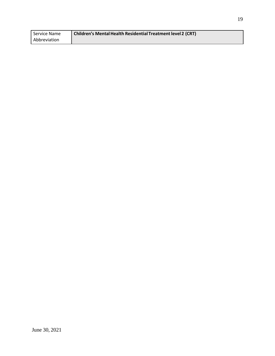| Service Name | Children's Mental Health Residential Treatment level 2 (CRT) |
|--------------|--------------------------------------------------------------|
| Abbreviation |                                                              |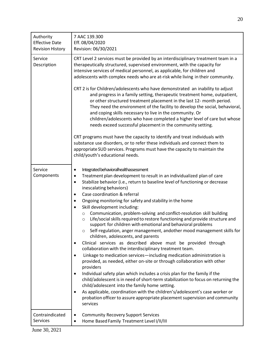| Authority<br><b>Effective Date</b><br><b>Revision History</b> | 7 AAC 139.300<br>Eff. 08/04/2020<br>Revision: 06/30/2021                                                                                                                                                                                                                                                                                                                                                                                                                                                                                                                                                                                                                                                                                                                                                                                                                                                                                                                                                                                                                                                                                                                                                                                                                                                                                                                                                                                                                                                                                      |
|---------------------------------------------------------------|-----------------------------------------------------------------------------------------------------------------------------------------------------------------------------------------------------------------------------------------------------------------------------------------------------------------------------------------------------------------------------------------------------------------------------------------------------------------------------------------------------------------------------------------------------------------------------------------------------------------------------------------------------------------------------------------------------------------------------------------------------------------------------------------------------------------------------------------------------------------------------------------------------------------------------------------------------------------------------------------------------------------------------------------------------------------------------------------------------------------------------------------------------------------------------------------------------------------------------------------------------------------------------------------------------------------------------------------------------------------------------------------------------------------------------------------------------------------------------------------------------------------------------------------------|
| Service<br>Description                                        | CRT Level 2 services must be provided by an interdisciplinary treatment team in a<br>therapeutically structured, supervised environment, with the capacity for<br>intensive services of medical personnel, as applicable, for children and<br>adolescents with complex needs who are at-risk while living in their community.<br>CRT 2 is for Children/adolescents who have demonstrated an inability to adjust<br>and progress in a family setting, therapeutic treatment home, outpatient,<br>or other structured treatment placement in the last 12- month period.<br>They need the environment of the facility to develop the social, behavioral,<br>and coping skills necessary to live in the community. Or<br>children/adolescents who have completed a higher level of care but whose<br>needs exceed successful placement in the community setting.<br>CRT programs must have the capacity to identify and treat individuals with<br>substance use disorders, or to refer these individuals and connect them to<br>appropriate SUD services. Programs must have the capacity to maintain the<br>child/youth's educational needs.                                                                                                                                                                                                                                                                                                                                                                                                     |
| Service<br>Components                                         | Integrated behavioralhealthassessment<br>٠<br>Treatment plan development to result in an individualized plan of care<br>$\bullet$<br>Stabilize behavior (i.e., return to baseline level of functioning or decrease<br>$\bullet$<br>inescalating behaviors)<br>Case coordination & referral<br>$\bullet$<br>Ongoing monitoring for safety and stability in the home<br>٠<br>Skill development including:<br>$\bullet$<br>Communication, problem-solving and conflict-resolution skill building<br>$\circ$<br>Life/social skills required to restore functioning and provide structure and<br>$\circ$<br>support for children with emotional and behavioral problems<br>Self-regulation, anger management, andother mood management skills for<br>$\circ$<br>children, adolescents, and parents<br>Clinical services as described above must be provided through<br>$\bullet$<br>collaboration with the interdisciplinary treatment team.<br>Linkage to medication services-including medication administration is<br>$\bullet$<br>provided, as needed, either on-site or through collaboration with other<br>providers<br>Individual safety plan which includes a crisis plan for the family if the<br>$\bullet$<br>child/adolescent is in need of short-term stabilization to focus on returning the<br>child/adolescent into the family home setting.<br>As applicable, coordination with the children's/adolescent's case worker or<br>$\bullet$<br>probation officer to assure appropriate placement supervision and community<br>services |
| Contraindicated<br>Services                                   | <b>Community Recovery Support Services</b><br>٠<br>Home Based Family Treatment Level I/II/III<br>$\bullet$                                                                                                                                                                                                                                                                                                                                                                                                                                                                                                                                                                                                                                                                                                                                                                                                                                                                                                                                                                                                                                                                                                                                                                                                                                                                                                                                                                                                                                    |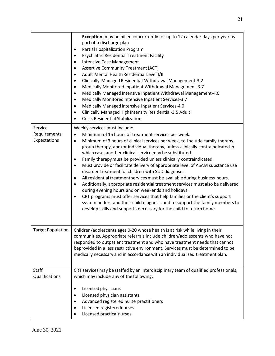|                                         | Exception: may be billed concurrently for up to 12 calendar days per year as<br>part of a discharge plan<br>Partial Hospitalization Program<br>٠<br><b>Psychiatric Residential Treatment Facility</b><br>٠<br><b>Intensive Case Management</b><br>$\bullet$<br><b>Assertive Community Treatment (ACT)</b><br>Adult Mental Health Residential Level I/II<br>$\bullet$<br>Clinically Managed Residential Withdrawal Management-3.2<br>٠<br>Medically Monitored Inpatient Withdrawal Management-3.7<br>٠<br>Medically Managed Intensive Inpatient Withdrawal Management-4.0<br>$\bullet$<br>Medically Monitored Intensive Inpatient Services-3.7<br>٠<br>Medically Managed Intensive Inpatient Services-4.0<br>$\bullet$<br>Clinically Managed High Intensity Residential-3.5 Adult<br><b>Crisis Residential Stabilization</b><br>$\bullet$                                                                                                                                                                                                                                          |
|-----------------------------------------|-----------------------------------------------------------------------------------------------------------------------------------------------------------------------------------------------------------------------------------------------------------------------------------------------------------------------------------------------------------------------------------------------------------------------------------------------------------------------------------------------------------------------------------------------------------------------------------------------------------------------------------------------------------------------------------------------------------------------------------------------------------------------------------------------------------------------------------------------------------------------------------------------------------------------------------------------------------------------------------------------------------------------------------------------------------------------------------|
| Service<br>Requirements<br>Expectations | Weekly services must include:<br>Minimum of 15 hours of treatment services per week.<br>$\bullet$<br>Minimum of 3 hours of clinical services per week, to include family therapy,<br>$\bullet$<br>group therapy, and/or individual therapy, unless clinically contraindicated in<br>which case, another clinical service may be substituted.<br>Family therapy must be provided unless clinically contraindicated.<br>٠<br>Must provide or facilitate delivery of appropriate level of ASAM substance use<br>$\bullet$<br>disorder treatment for children with SUD diagnoses<br>All residential treatment services must be available during business hours.<br>$\bullet$<br>Additionally, appropriate residential treatment services must also be delivered<br>$\bullet$<br>during evening hours and on weekends and holidays.<br>CRT programs must offer services that help families or the client's support<br>$\bullet$<br>system understand their child diagnosis and to support the family members to<br>develop skills and supports necessary for the child to return home. |
| <b>Target Population</b>                | Children/adolescents ages 0-20 whose health is at risk while living in their<br>communities. Appropriate referrals include children/adolescents who have not<br>responded to outpatient treatment and who have treatment needs that cannot<br>beprovided in a less restrictive environment. Services must be determined to be<br>medically necessary and in accordance with an individualized treatment plan.                                                                                                                                                                                                                                                                                                                                                                                                                                                                                                                                                                                                                                                                     |
| Staff<br>Qualifications                 | CRT services may be staffed by an interdisciplinary team of qualified professionals,<br>which may include any of the following;<br>Licensed physicians<br>٠<br>Licensed physician assistants<br>٠<br>Advanced registered nurse practitioners<br>٠<br>Licensed registerednurses<br>٠<br>Licensed practical nurses<br>٠                                                                                                                                                                                                                                                                                                                                                                                                                                                                                                                                                                                                                                                                                                                                                             |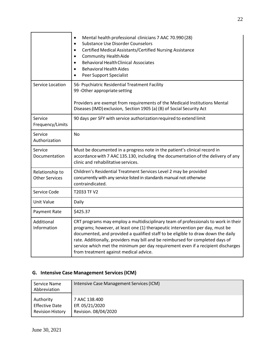|                                          | Mental health professional clinicians 7 AAC 70.990 (28)<br>$\bullet$<br><b>Substance Use Disorder Counselors</b><br>$\bullet$<br>Certified Medical Assistants/Certified Nursing Assistance<br>$\bullet$<br><b>Community Health Aide</b><br>$\bullet$<br><b>Behavioral Health Clinical Associates</b><br>$\bullet$<br><b>Behavioral Health Aides</b><br>Peer Support Specialist                                                                                          |
|------------------------------------------|-------------------------------------------------------------------------------------------------------------------------------------------------------------------------------------------------------------------------------------------------------------------------------------------------------------------------------------------------------------------------------------------------------------------------------------------------------------------------|
| Service Location                         | 56- Psychiatric Residential Treatment Facility<br>99 - Other appropriate setting<br>Providers are exempt from requirements of the Medicaid Institutions Mental<br>Diseases (IMD) exclusion, Section 1905 (a) (B) of Social Security Act                                                                                                                                                                                                                                 |
| Service<br>Frequency/Limits              | 90 days per SFY with service authorization required to extend limit                                                                                                                                                                                                                                                                                                                                                                                                     |
| Service<br>Authorization                 | <b>No</b>                                                                                                                                                                                                                                                                                                                                                                                                                                                               |
| Service<br>Documentation                 | Must be documented in a progress note in the patient's clinical record in<br>accordance with 7 AAC 135.130, including the documentation of the delivery of any<br>clinic and rehabilitative services.                                                                                                                                                                                                                                                                   |
| Relationship to<br><b>Other Services</b> | Children's Residential Treatment Services Level 2 may be provided<br>concurrently with any service listed in standards manual not otherwise<br>contraindicated.                                                                                                                                                                                                                                                                                                         |
| Service Code                             | T2033 TF V2                                                                                                                                                                                                                                                                                                                                                                                                                                                             |
| Unit Value                               | Daily                                                                                                                                                                                                                                                                                                                                                                                                                                                                   |
| Payment Rate                             | \$425.37                                                                                                                                                                                                                                                                                                                                                                                                                                                                |
| Additional<br>Information                | CRT programs may employ a multidisciplinary team of professionals to work in their<br>programs; however, at least one (1) therapeutic intervention per day, must be<br>documented, and provided a qualified staff to be eligible to draw down the daily<br>rate. Additionally, providers may bill and be reimbursed for completed days of<br>service which met the minimum per day requirement even if a recipient discharges<br>from treatment against medical advice. |

#### <span id="page-21-0"></span>**G. Intensive Case Management Services(ICM)**

| Service Name<br>Abbreviation | Intensive Case Management Services (ICM) |
|------------------------------|------------------------------------------|
| Authority                    | 7 AAC 138.400                            |
| <b>Effective Date</b>        | Eff. 05/21/2020                          |
| <b>Revision History</b>      | Revision. 08/04/2020                     |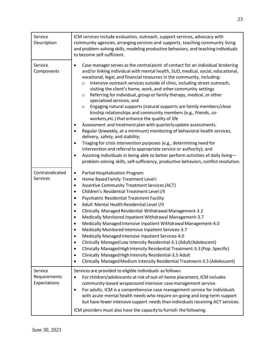| Service<br>Description                  | ICM services include evaluation, outreach, support services, advocacy with<br>community agencies, arranging services and supports, teaching community living<br>and problem-solving skills, modeling productive behaviors, and teaching individuals<br>to become self-sufficient.                                                                                                                                                                                                                                                                                                                                                                                                                                                                                                                                                                                                                                                                                                                                                                                                                                                                                                                                                                                                                |
|-----------------------------------------|--------------------------------------------------------------------------------------------------------------------------------------------------------------------------------------------------------------------------------------------------------------------------------------------------------------------------------------------------------------------------------------------------------------------------------------------------------------------------------------------------------------------------------------------------------------------------------------------------------------------------------------------------------------------------------------------------------------------------------------------------------------------------------------------------------------------------------------------------------------------------------------------------------------------------------------------------------------------------------------------------------------------------------------------------------------------------------------------------------------------------------------------------------------------------------------------------------------------------------------------------------------------------------------------------|
| Service<br>Components                   | Case manager serves as the central point of contact for an individual brokering<br>$\bullet$<br>and/or linking individual with mental health, SUD, medical, social, educational,<br>vocational, legal, and financial resources in the community, including:<br>Intensive outreach services outside of clinic, including street outreach,<br>$\circ$<br>visiting the client's home, work, and other community settings<br>Referring for individual, group or family therapy, medical, or other<br>$\circ$<br>specialized services; and<br>Engaging natural supports (natural supports are family members/close<br>$\circ$<br>kinship relationships and community members (e.g., friends, co-<br>workers, etc.) that enhance the quality of life<br>Assessment and treatment plan with quarterly update assessments.<br>٠<br>Regular (biweekly, at a minimum) monitoring of behavioral health services,<br>delivery, safety, and stability;<br>Triaging for crisis intervention purposes (e.g., determining need for<br>$\bullet$<br>intervention and referral to appropriate service or authority); and<br>Assisting individuals in being able to better perform activities of daily living-<br>$\bullet$<br>problem-solving skills, self-sufficiency, productive behaviors, conflict resolution. |
| Contraindicated<br><b>Services</b>      | Partial Hospitalization Program<br>٠<br>Home Based Family Treatment Level I<br>$\bullet$<br><b>Assertive Community Treatment Services (ACT)</b><br>$\bullet$<br>Children's Residential Treatment Level I/II<br>$\bullet$<br>Psychiatric Residential Treatment Facility<br>٠<br>Adult Mental Health Residential Level I/II<br>$\bullet$<br>Clinically Managed Residential Withdrawal Management-3.2<br>$\bullet$<br>Medically Monitored Inpatient Withdrawal Management-3.7<br>$\bullet$<br>Medically Managed Intensive Inpatient Withdrawal Management-4.0<br>$\bullet$<br>Medically Monitored Intensive Inpatient Services-3.7<br>$\bullet$<br>Medically Managed Intensive Inpatient Services-4.0<br>$\bullet$<br>Clinically Managed Low Intensity Residential-3.1 (Adult/Adolescent)<br>$\bullet$<br>Clinically Managed High Intensity Residential Treatment-3.3 (Pop. Specific)<br>$\bullet$<br>Clinically Managed High Intensity Residential-3.5 Adult<br>$\bullet$<br>Clinically Managed Medium Intensity Residential Treatment-3.5 (Adolescent)<br>$\bullet$                                                                                                                                                                                                                               |
| Service<br>Requirements<br>Expectations | Services are provided to eligible individuals as follows:<br>For children/adolescents at risk of out-of-home placement, ICM includes<br>$\bullet$<br>community-based wraparound intensive case management service.<br>For adults, ICM is a comprehensive case management service for individuals<br>$\bullet$<br>with acute mental health needs who require on-going and long-term support<br>but have fewer intensive support needs than individuals receiving ACT services.<br>ICM providers must also have the capacity to furnish the following:                                                                                                                                                                                                                                                                                                                                                                                                                                                                                                                                                                                                                                                                                                                                             |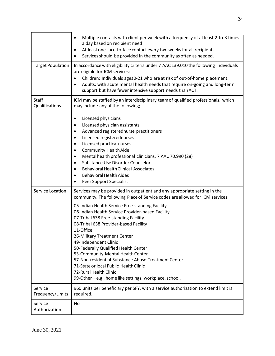|                             | Multiple contacts with client per week with a frequency of at least 2-to-3 times<br>$\bullet$<br>a day based on recipient need<br>At least one face-to-face contact every two weeks for all recipients<br>٠<br>Services should be provided in the community as often as needed.<br>$\bullet$                                                                                                                                                                                                                                                                                                                                                                                              |
|-----------------------------|-------------------------------------------------------------------------------------------------------------------------------------------------------------------------------------------------------------------------------------------------------------------------------------------------------------------------------------------------------------------------------------------------------------------------------------------------------------------------------------------------------------------------------------------------------------------------------------------------------------------------------------------------------------------------------------------|
| <b>Target Population</b>    | In accordance with eligibility criteria under 7 AAC 139.010 the following individuals<br>are eligible for ICM services:<br>Children: Individuals ages 0-21 who are at risk of out-of-home placement.<br>$\bullet$<br>Adults: with acute mental health needs that require on-going and long-term<br>support but have fewer intensive support needs than ACT.                                                                                                                                                                                                                                                                                                                               |
| Staff<br>Qualifications     | ICM may be staffed by an interdisciplinary team of qualified professionals, which<br>may include any of the following;                                                                                                                                                                                                                                                                                                                                                                                                                                                                                                                                                                    |
|                             | Licensed physicians<br>٠<br>Licensed physician assistants<br>$\bullet$<br>Advanced registerednurse practitioners<br>$\bullet$<br>Licensed registerednurses<br>$\bullet$<br>Licensed practical nurses<br>$\bullet$<br><b>Community Health Aide</b><br>$\bullet$<br>Mental health professional clinicians, 7 AAC 70.990 (28)<br>$\bullet$<br><b>Substance Use Disorder Counselors</b><br>$\bullet$<br><b>Behavioral Health Clinical Associates</b><br>$\bullet$<br><b>Behavioral Health Aides</b><br>$\bullet$<br>Peer Support Specialist                                                                                                                                                   |
| Service Location            | Services may be provided in outpatient and any appropriate setting in the<br>community. The following Place of Service codes are allowed for ICM services:<br>05-Indian Health Service Free-standing Facility<br>06-Indian Health Service Provider-based Facility<br>07-Tribal 638 Free-standing Facility<br>08-Tribal 638 Provider-based Facility<br>11-Office<br>26-Military Treatment Center<br>49-Independent Clinic<br>50-Federally Qualified Health Center<br>53-Community Mental Health Center<br>57-Non-residential Substance Abuse Treatment Center<br>71-State or local Public Health Clinic<br>72-Rural Health Clinic<br>99-Other-e.g., home like settings, workplace, school. |
| Service<br>Frequency/Limits | 960 units per beneficiary per SFY, with a service authorization to extend limit is<br>required.                                                                                                                                                                                                                                                                                                                                                                                                                                                                                                                                                                                           |
| Service<br>Authorization    | No                                                                                                                                                                                                                                                                                                                                                                                                                                                                                                                                                                                                                                                                                        |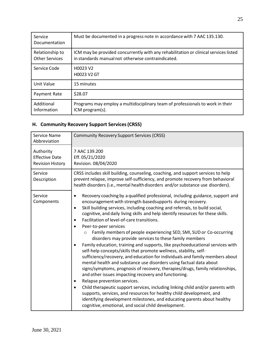| Service<br>Documentation                 | Must be documented in a progress note in accordance with 7 AAC 135.130.                                                                    |
|------------------------------------------|--------------------------------------------------------------------------------------------------------------------------------------------|
| Relationship to<br><b>Other Services</b> | ICM may be provided concurrently with any rehabilitation or clinical services listed<br>in standards manual not otherwise contraindicated. |
| Service Code                             | H0023 V2<br>H0023 V2 GT                                                                                                                    |
| Unit Value                               | 15 minutes                                                                                                                                 |
| Payment Rate                             | \$28.07                                                                                                                                    |
| Additional<br>Information                | Programs may employ a multidisciplinary team of professionals to work in their<br>ICM program(s).                                          |

#### <span id="page-24-0"></span>**H. Community Recovery Support Services(CRSS)**

| <b>Service Name</b><br>Abbreviation                           | <b>Community Recovery Support Services (CRSS)</b>                                                                                                                                                                                                                                                                                                                                                                                                                                                                                                                                                                                                                                                                                                                                                                                                                                                                                                                                                                                                                                                                                                                                                                                                                                                                                                                                          |
|---------------------------------------------------------------|--------------------------------------------------------------------------------------------------------------------------------------------------------------------------------------------------------------------------------------------------------------------------------------------------------------------------------------------------------------------------------------------------------------------------------------------------------------------------------------------------------------------------------------------------------------------------------------------------------------------------------------------------------------------------------------------------------------------------------------------------------------------------------------------------------------------------------------------------------------------------------------------------------------------------------------------------------------------------------------------------------------------------------------------------------------------------------------------------------------------------------------------------------------------------------------------------------------------------------------------------------------------------------------------------------------------------------------------------------------------------------------------|
| Authority<br><b>Effective Date</b><br><b>Revision History</b> | 7 AAC 139.200<br>Eff. 05/21/2020<br>Revision. 08/04/2020                                                                                                                                                                                                                                                                                                                                                                                                                                                                                                                                                                                                                                                                                                                                                                                                                                                                                                                                                                                                                                                                                                                                                                                                                                                                                                                                   |
| Service<br>Description                                        | CRSS includes skill building, counseling, coaching, and support services to help<br>prevent relapse, improve self-sufficiency, and promote recovery from behavioral<br>health disorders (i.e., mental health disorders and/or substance use disorders).                                                                                                                                                                                                                                                                                                                                                                                                                                                                                                                                                                                                                                                                                                                                                                                                                                                                                                                                                                                                                                                                                                                                    |
| Service<br>Components                                         | Recovery coaching by a qualified professional, including guidance, support and<br>$\bullet$<br>encouragement with strength-basedsupports during recovery.<br>Skill building services, including coaching and referrals, to build social,<br>$\bullet$<br>cognitive, and daily living skills and help identify resources for these skills.<br>Facilitation of level-of-care transitions.<br>$\bullet$<br>Peer-to-peer services<br>Family members of people experiencing SED, SMI, SUD or Co-occurring<br>$\circ$<br>disorders may provide services to these family members<br>Family education, training and supports, like psychoeducational services with<br>$\bullet$<br>self-help concepts/skills that promote wellness, stability, self-<br>sufficiency/recovery, and education for individuals and family members about<br>mental health and substance use disorders using factual data about<br>signs/symptoms, prognosis of recovery, therapies/drugs, family relationships,<br>and other issues impacting recovery and functioning.<br>Relapse prevention services.<br>٠<br>Child therapeutic support services, including linking child and/or parents with<br>$\bullet$<br>supports, services, and resources for healthy child development, and<br>identifying development milestones, and educating parents about healthy<br>cognitive, emotional, and social child development. |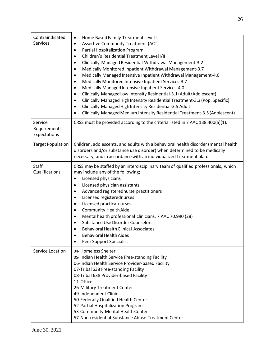| Contraindicated<br>Services             | Home Based Family Treatment Level I<br>$\bullet$<br><b>Assertive Community Treatment (ACT)</b><br>$\bullet$<br>Partial Hospitalization Program<br>$\bullet$<br>Children's Residential Treatment Level I/II<br>$\bullet$<br>Clinically Managed Residential Withdrawal Management-3.2<br>$\bullet$<br>Medically Monitored Inpatient Withdrawal Management-3.7<br>$\bullet$<br>Medically Managed Intensive Inpatient Withdrawal Management-4.0<br>$\bullet$<br>Medically Monitored Intensive Inpatient Services-3.7<br>$\bullet$<br>Medically Managed Intensive Inpatient Services-4.0<br>$\bullet$<br>Clinically Managed Low Intensity Residential-3.1 (Adult/Adolescent)<br>$\bullet$<br>Clinically Managed High Intensity Residential Treatment-3.3 (Pop. Specific)<br>$\bullet$<br>Clinically Managed High Intensity Residential-3.5 Adult<br>$\bullet$<br>Clinically Managed Medium Intensity Residential Treatment-3.5 (Adolescent)<br>$\bullet$ |
|-----------------------------------------|-----------------------------------------------------------------------------------------------------------------------------------------------------------------------------------------------------------------------------------------------------------------------------------------------------------------------------------------------------------------------------------------------------------------------------------------------------------------------------------------------------------------------------------------------------------------------------------------------------------------------------------------------------------------------------------------------------------------------------------------------------------------------------------------------------------------------------------------------------------------------------------------------------------------------------------------------------|
| Service<br>Requirements<br>Expectations | CRSS must be provided according to the criteria listed in 7 AAC 138.400(a)(1).                                                                                                                                                                                                                                                                                                                                                                                                                                                                                                                                                                                                                                                                                                                                                                                                                                                                      |
| <b>Target Population</b>                | Children, adolescents, and adults with a behavioral health disorder (mental health<br>disorders and/or substance use disorder) when determined to be medically<br>necessary, and in accordance with an individualized treatment plan.                                                                                                                                                                                                                                                                                                                                                                                                                                                                                                                                                                                                                                                                                                               |
| <b>Staff</b><br>Qualifications          | CRSS may be staffed by an interdisciplinary team of qualified professionals, which<br>may include any of the following;<br>Licensed physicians<br>$\bullet$<br>Licensed physician assistants<br>$\bullet$<br>Advanced registerednurse practitioners<br>$\bullet$<br>Licensed registerednurses<br>$\bullet$<br>Licensed practical nurses<br>$\bullet$<br><b>Community Health Aide</b><br>$\bullet$<br>Mental health professional clinicians, 7 AAC 70.990 (28)<br>$\bullet$<br><b>Substance Use Disorder Counselors</b><br>$\bullet$<br><b>Behavioral Health Clinical Associates</b><br><b>Behavioral Health Aides</b><br>Peer Support Specialist                                                                                                                                                                                                                                                                                                    |
| Service Location                        | 04- Homeless Shelter<br>05- Indian Health Service Free-standing Facility<br>06-Indian Health Service Provider-based Facility<br>07-Tribal 638 Free-standing Facility<br>08-Tribal 638 Provider-based Facility<br>11-Office<br>26-Military Treatment Center<br>49-Independent Clinic<br>50-Federally Qualified Health Center<br>52-Partial Hospitalization Program<br>53-Community Mental Health Center<br>57-Non-residential Substance Abuse Treatment Center                                                                                                                                                                                                                                                                                                                                                                                                                                                                                       |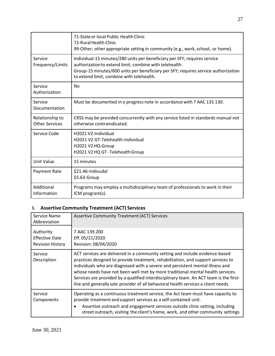|                                          | 71-State or local Public Health Clinic<br>72-Rural Health Clinic<br>99-Other; other appropriate setting in community (e.g., work, school, or home).                                                                                                                     |
|------------------------------------------|-------------------------------------------------------------------------------------------------------------------------------------------------------------------------------------------------------------------------------------------------------------------------|
| Service<br>Frequency/Limits              | Individual-15 minutes/280 units per beneficiary per SFY; requires service<br>authorization to extend limit; combine with telehealth.<br>Group-15 minutes/600 units per beneficiary per SFY; requires service authorization<br>to extend limit; combine with telehealth. |
| Service<br>Authorization                 | <b>No</b>                                                                                                                                                                                                                                                               |
| Service<br>Documentation                 | Must be documented in a progress note in accordance with 7 AAC 135.130.                                                                                                                                                                                                 |
| Relationship to<br><b>Other Services</b> | CRSS may be provided concurrently with any service listed in standards manual not<br>otherwise contraindicated.                                                                                                                                                         |
| Service Code                             | H2021 V2-Individual<br>H2021 V2 GT-Telehealth-Individual<br>H2021 V2 HQ-Group<br>H2021 V2 HQ GT -Telehealth Group                                                                                                                                                       |
| <b>Unit Value</b>                        | 15 minutes                                                                                                                                                                                                                                                              |
| Payment Rate                             | \$21.46-Indivudal<br>\$5.63-Group                                                                                                                                                                                                                                       |
| Additional<br>Information                | Programs may employ a multidisciplinary team of professionals to work in their<br>ICM program(s).                                                                                                                                                                       |

# <span id="page-26-0"></span>**I. Assertive Community Treatment (ACT) Services**

| Service Name<br>Abbreviation                                  | <b>Assertive Community Treatment (ACT) Services</b>                                                                                                                                                                                                                                                                                                                                                                                                                                                                 |
|---------------------------------------------------------------|---------------------------------------------------------------------------------------------------------------------------------------------------------------------------------------------------------------------------------------------------------------------------------------------------------------------------------------------------------------------------------------------------------------------------------------------------------------------------------------------------------------------|
| Authority<br><b>Effective Date</b><br><b>Revision History</b> | 7 AAC 139.200<br>Eff. 05/21/2020<br>Revision: 08/04/2020                                                                                                                                                                                                                                                                                                                                                                                                                                                            |
| Service<br>Description                                        | ACT services are delivered in a community setting and include evidence-based<br>practices designed to provide treatment, rehabilitation, and support services to<br>individuals who are diagnosed with a severe and persistent mental illness and<br>whose needs have not been well met by more traditional mental health services.<br>Services are provided by a qualified interdisciplinary team. An ACT team is the first-<br>line and generally sole provider of all behavioral health services a client needs. |
| Service<br>Components                                         | Operating as a continuous treatment service, the Act team must have capacity to<br>provide treatment and support services as a self-contained unit.<br>Assertive outreach and engagement services outside clinic setting, including<br>$\bullet$<br>street outreach, visiting the client's home, work, and other community settings                                                                                                                                                                                 |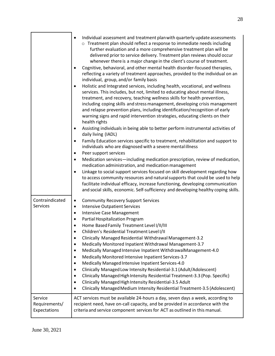|                 | Individual assessment and treatment plan with quarterly update assessments<br>$\bullet$<br>o Treatment plan should reflect a response to immediate needs including<br>further evaluation and a more comprehensive treatment plan will be<br>delivered prior to service delivery. Treatment plan reviews should occur<br>whenever there is a major change in the client's course of treatment.<br>Cognitive, behavioral, and other mental health disorder-focused therapies,<br>$\bullet$<br>reflecting a variety of treatment approaches, provided to the individual on an<br>individual, group, and/or family basis<br>Holistic and Integrated services, including health, vocational, and wellness<br>$\bullet$<br>services. This includes, but not, limited to educating about mental illness,<br>treatment, and recovery, teaching wellness skills for health prevention,<br>including coping skills and stress management, developing crisis management<br>and relapse prevention plans, including identification/recognition of early<br>warning signs and rapid intervention strategies, educating clients on their<br>health rights<br>Assisting individuals in being able to better perform instrumental activities of<br>$\bullet$<br>daily living (IADL)<br>Family Education services specific to treatment, rehabilitation and support to<br>$\bullet$<br>individuals who are diagnosed with a severe mental illness<br>Peer support services<br>$\bullet$<br>Medication services-including medication prescription, review of medication,<br>$\bullet$<br>medication administration, and medication management<br>Linkage to social support services focused on skill development regarding how<br>$\bullet$<br>to access community resources and natural supports that could be used to help<br>facilitate individual efficacy, increase functioning, developing communication<br>and social skills, economic. Self-sufficiency and developing healthy coping skills. |
|-----------------|-------------------------------------------------------------------------------------------------------------------------------------------------------------------------------------------------------------------------------------------------------------------------------------------------------------------------------------------------------------------------------------------------------------------------------------------------------------------------------------------------------------------------------------------------------------------------------------------------------------------------------------------------------------------------------------------------------------------------------------------------------------------------------------------------------------------------------------------------------------------------------------------------------------------------------------------------------------------------------------------------------------------------------------------------------------------------------------------------------------------------------------------------------------------------------------------------------------------------------------------------------------------------------------------------------------------------------------------------------------------------------------------------------------------------------------------------------------------------------------------------------------------------------------------------------------------------------------------------------------------------------------------------------------------------------------------------------------------------------------------------------------------------------------------------------------------------------------------------------------------------------------------------------------------------------------------------------------------------------------|
| Contraindicated | <b>Community Recovery Support Services</b><br>$\bullet$                                                                                                                                                                                                                                                                                                                                                                                                                                                                                                                                                                                                                                                                                                                                                                                                                                                                                                                                                                                                                                                                                                                                                                                                                                                                                                                                                                                                                                                                                                                                                                                                                                                                                                                                                                                                                                                                                                                             |
| <b>Services</b> | <b>Intensive Outpatient Services</b><br>$\bullet$                                                                                                                                                                                                                                                                                                                                                                                                                                                                                                                                                                                                                                                                                                                                                                                                                                                                                                                                                                                                                                                                                                                                                                                                                                                                                                                                                                                                                                                                                                                                                                                                                                                                                                                                                                                                                                                                                                                                   |
|                 | Intensive Case Management<br>$\bullet$                                                                                                                                                                                                                                                                                                                                                                                                                                                                                                                                                                                                                                                                                                                                                                                                                                                                                                                                                                                                                                                                                                                                                                                                                                                                                                                                                                                                                                                                                                                                                                                                                                                                                                                                                                                                                                                                                                                                              |
|                 | Partial Hospitalization Program<br>$\bullet$                                                                                                                                                                                                                                                                                                                                                                                                                                                                                                                                                                                                                                                                                                                                                                                                                                                                                                                                                                                                                                                                                                                                                                                                                                                                                                                                                                                                                                                                                                                                                                                                                                                                                                                                                                                                                                                                                                                                        |
|                 | Home Based Family Treatment Level I/II/III<br>Children's Residential Treatment Level I/II                                                                                                                                                                                                                                                                                                                                                                                                                                                                                                                                                                                                                                                                                                                                                                                                                                                                                                                                                                                                                                                                                                                                                                                                                                                                                                                                                                                                                                                                                                                                                                                                                                                                                                                                                                                                                                                                                           |
|                 | Clinically Managed Residential Withdrawal Management-3.2<br>٠                                                                                                                                                                                                                                                                                                                                                                                                                                                                                                                                                                                                                                                                                                                                                                                                                                                                                                                                                                                                                                                                                                                                                                                                                                                                                                                                                                                                                                                                                                                                                                                                                                                                                                                                                                                                                                                                                                                       |
|                 | Medically Monitored Inpatient Withdrawal Management-3.7                                                                                                                                                                                                                                                                                                                                                                                                                                                                                                                                                                                                                                                                                                                                                                                                                                                                                                                                                                                                                                                                                                                                                                                                                                                                                                                                                                                                                                                                                                                                                                                                                                                                                                                                                                                                                                                                                                                             |
|                 | Medically Managed Intensive Inpatient WithdrawalManagement-4.0<br>$\bullet$                                                                                                                                                                                                                                                                                                                                                                                                                                                                                                                                                                                                                                                                                                                                                                                                                                                                                                                                                                                                                                                                                                                                                                                                                                                                                                                                                                                                                                                                                                                                                                                                                                                                                                                                                                                                                                                                                                         |
|                 | Medically Monitored Intensive Inpatient Services-3.7<br>$\bullet$                                                                                                                                                                                                                                                                                                                                                                                                                                                                                                                                                                                                                                                                                                                                                                                                                                                                                                                                                                                                                                                                                                                                                                                                                                                                                                                                                                                                                                                                                                                                                                                                                                                                                                                                                                                                                                                                                                                   |
|                 | Medically Managed Intensive Inpatient Services-4.0<br>$\bullet$                                                                                                                                                                                                                                                                                                                                                                                                                                                                                                                                                                                                                                                                                                                                                                                                                                                                                                                                                                                                                                                                                                                                                                                                                                                                                                                                                                                                                                                                                                                                                                                                                                                                                                                                                                                                                                                                                                                     |
|                 | Clinically Managed Low Intensity Residential-3.1 (Adult/Adolescent)<br>$\bullet$<br>Clinically Managed High Intensity Residential Treatment-3.3 (Pop. Specific)<br>$\bullet$                                                                                                                                                                                                                                                                                                                                                                                                                                                                                                                                                                                                                                                                                                                                                                                                                                                                                                                                                                                                                                                                                                                                                                                                                                                                                                                                                                                                                                                                                                                                                                                                                                                                                                                                                                                                        |
|                 | Clinically Managed High Intensity Residential-3.5 Adult<br>$\bullet$                                                                                                                                                                                                                                                                                                                                                                                                                                                                                                                                                                                                                                                                                                                                                                                                                                                                                                                                                                                                                                                                                                                                                                                                                                                                                                                                                                                                                                                                                                                                                                                                                                                                                                                                                                                                                                                                                                                |
|                 | Clinically Managed Medium Intensity Residential Treatment-3.5 (Adolescent)<br>$\bullet$                                                                                                                                                                                                                                                                                                                                                                                                                                                                                                                                                                                                                                                                                                                                                                                                                                                                                                                                                                                                                                                                                                                                                                                                                                                                                                                                                                                                                                                                                                                                                                                                                                                                                                                                                                                                                                                                                             |
| Service         | ACT services must be available 24-hours a day, seven days a week, according to                                                                                                                                                                                                                                                                                                                                                                                                                                                                                                                                                                                                                                                                                                                                                                                                                                                                                                                                                                                                                                                                                                                                                                                                                                                                                                                                                                                                                                                                                                                                                                                                                                                                                                                                                                                                                                                                                                      |
| Requirements/   | recipient need, have on-call capacity, and be provided in accordance with the                                                                                                                                                                                                                                                                                                                                                                                                                                                                                                                                                                                                                                                                                                                                                                                                                                                                                                                                                                                                                                                                                                                                                                                                                                                                                                                                                                                                                                                                                                                                                                                                                                                                                                                                                                                                                                                                                                       |
| Expectations    | criteria and service component services for ACT as outlined in this manual.                                                                                                                                                                                                                                                                                                                                                                                                                                                                                                                                                                                                                                                                                                                                                                                                                                                                                                                                                                                                                                                                                                                                                                                                                                                                                                                                                                                                                                                                                                                                                                                                                                                                                                                                                                                                                                                                                                         |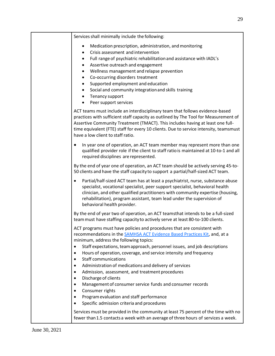Services shall minimally include the following: Medication prescription, administration, and monitoring • Crisis assessment and intervention • Full range of psychiatric rehabilitationand assistance with IADL's • Assertive outreach and engagement • Wellness management and relapse prevention • Co-occurring disorders treatment • Supported employment and education • Social and community integrationand skills training • Tenancy support • Peer support services ACT teams must include an interdisciplinary team that follows evidence-based practices with sufficient staff capacity as outlined by The Tool for Measurement of Assertive Community Treatment (TMACT). This includes having at least one fulltime equivalent (FTE) staff for every 10 clients. Due to service intensity, teamsmust have a low client to staff ratio. • In year one of operation, an ACT team member may represent more than one qualified provider role if the client to staff ratiois maintained at 10-to-1 and all required disciplines are represented. By the end of year one of operation, an ACT team should be actively serving 45-to-50 clients and have the staff capacity to support a partial/half-sized ACT team. • Partial/half-sized ACT team has at least a psychiatrist, nurse, substance abuse specialist, vocational specialist, peer support specialist, behavioral health clinician, and other qualified practitioners with community expertise (housing, rehabilitation), program assistant, team lead under the supervision of behavioral health provider. By the end of year two of operation, an ACT teamsthat intends to be a full-sized teammust have staffing capacityto actively serve at least 80-to-100 clients. ACT programs must have policies and procedures that are consistent with recommendations in the [SAMHSA ACT Evidence Based Practices Kit, a](https://store.samhsa.gov/product/Assertive-Community-Treatment-ACT-Evidence-Based-Practices-EBP-KIT/sma08-4344))nd, at a minimum, address the following topics: • Staff expectations, team approach, personnel issues, and job descriptions • Hours of operation, coverage, and service intensity and frequency Staff communications • Administration of medications and delivery of services • Admission, assessment, and treatment procedures • Discharge of clients • Management of consumer service funds and consumer records • Consumer rights • Programevaluation and staff performance Specific admission criteria and procedures Services must be provided in the community at least 75 percent of the time with no fewer than1.5 contacts a week with an average of three hours of services a week.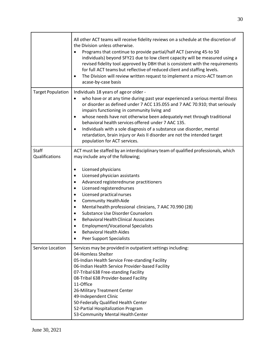|                                | All other ACT teams will receive fidelity reviews on a schedule at the discretion of<br>the Division unless otherwise.<br>Programs that continue to provide partial/half ACT (serving 45-to 50<br>$\bullet$<br>individuals) beyond SFY21 due to low client capacity will be measured using a<br>revised fidelity tool approved by DBH that is consistent with the requirements<br>for full ACT teams but reflective of reduced client and staffing levels.<br>The Division will review written request to implement a micro-ACT team on<br>$\bullet$<br>acase-by-case basis                                                                                                                                                 |
|--------------------------------|-----------------------------------------------------------------------------------------------------------------------------------------------------------------------------------------------------------------------------------------------------------------------------------------------------------------------------------------------------------------------------------------------------------------------------------------------------------------------------------------------------------------------------------------------------------------------------------------------------------------------------------------------------------------------------------------------------------------------------|
| <b>Target Population</b>       | Individuals 18 years of age or older -<br>who have or at any time during past year experienced a serious mental illness<br>$\bullet$<br>or disorder as defined under 7 ACC 135.055 and 7 AAC 70.910; that seriously<br>impairs functioning in community living and<br>whose needs have not otherwise been adequately met through traditional<br>$\bullet$<br>behavioral health services offered under 7 AAC 135.<br>Individuals with a sole diagnosis of a substance use disorder, mental<br>$\bullet$<br>retardation, brain injury or Axis II disorder are not the intended target<br>population for ACT services.                                                                                                         |
| <b>Staff</b><br>Qualifications | ACT must be staffed by an interdisciplinary team of qualified professionals, which<br>may include any of the following;<br>Licensed physicians<br>$\bullet$<br>Licensed physician assistants<br>٠<br>Advanced registerednurse practitioners<br>$\bullet$<br>Licensed registerednurses<br>$\bullet$<br>Licensed practical nurses<br>$\bullet$<br><b>Community Health Aide</b><br>٠<br>Mental health professional clinicians, 7 AAC 70.990 (28)<br>$\bullet$<br><b>Substance Use Disorder Counselors</b><br>$\bullet$<br><b>Behavioral Health Clinical Associates</b><br>$\bullet$<br><b>Employment/Vocational Specialists</b><br>$\bullet$<br><b>Behavioral Health Aides</b><br>$\bullet$<br><b>Peer Support Specialists</b> |
| Service Location               | Services may be provided in outpatient settings including:<br>04-Homless Shelter<br>05-Indian Health Service Free-standing Facility<br>06-Indian Health Service Provider-based Facility<br>07-Tribal 638 Free-standing Facility<br>08-Tribal 638 Provider-based Facility<br>11-Office<br>26-Military Treatment Center<br>49-Independent Clinic<br>50-Federally Qualified Health Center<br>52-Partial Hospitalization Program<br>53-Community Mental Health Center                                                                                                                                                                                                                                                           |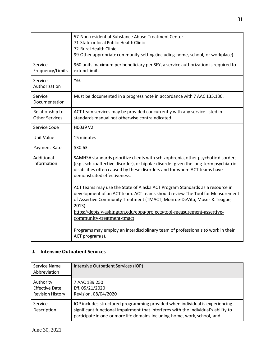|                                          | 57-Non-residential Substance Abuse Treatment Center<br>71-State or local Public Health Clinic<br>72-Rural Health Clinic<br>99-Other appropriate community setting (including home, school, or workplace)                                                                              |
|------------------------------------------|---------------------------------------------------------------------------------------------------------------------------------------------------------------------------------------------------------------------------------------------------------------------------------------|
| Service<br>Frequency/Limits              | 960 units maximum per beneficiary per SFY, a service authorization is required to<br>extend limit.                                                                                                                                                                                    |
| Service<br>Authorization                 | Yes                                                                                                                                                                                                                                                                                   |
| Service<br>Documentation                 | Must be documented in a progress note in accordance with 7 AAC 135.130.                                                                                                                                                                                                               |
| Relationship to<br><b>Other Services</b> | ACT team services may be provided concurrently with any service listed in<br>standards manual not otherwise contraindicated.                                                                                                                                                          |
| Service Code                             | H0039 V2                                                                                                                                                                                                                                                                              |
| <b>Unit Value</b>                        | 15 minutes                                                                                                                                                                                                                                                                            |
| Payment Rate                             | \$30.63                                                                                                                                                                                                                                                                               |
| Additional<br>Information                | SAMHSA standards prioritize clients with schizophrenia, other psychotic disorders<br>(e.g., schizoaffective disorder), or bipolar disorder given the long-term psychiatric<br>disabilities often caused by these disorders and for whom ACT teams have<br>demonstrated effectiveness. |
|                                          | ACT teams may use the State of Alaska ACT Program Standards as a resource in<br>development of an ACT team. ACT teams should review The Tool for Measurement<br>of Assertive Community Treatment (TMACT; Monroe-DeVita, Moser & Teague,<br>$2013$ ).                                  |
|                                          | https://depts.washington.edu/ebpa/projects/tool-measurement-assertive-<br>community-treatment-tmact                                                                                                                                                                                   |
|                                          | Programs may employ an interdisciplinary team of professionals to work in their<br>ACT program(s).                                                                                                                                                                                    |

# <span id="page-30-0"></span>**J. Intensive Outpatient Services**

| Service Name<br>Abbreviation                                  | Intensive Outpatient Services (IOP)                                                                                                                                                                                                             |
|---------------------------------------------------------------|-------------------------------------------------------------------------------------------------------------------------------------------------------------------------------------------------------------------------------------------------|
| Authority<br><b>Effective Date</b><br><b>Revision History</b> | 7 AAC 139.250<br>Eff. 05/21/2020<br>Revision. 08/04/2020                                                                                                                                                                                        |
| Service<br>Description                                        | IOP includes structured programming provided when individual is experiencing<br>significant functional impairment that interferes with the individual's ability to<br>participate in one or more life domains including home, work, school, and |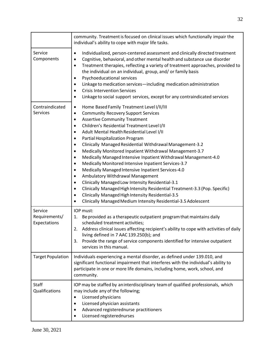|                                          | community. Treatment is focused on clinical issues which functionally impair the<br>individual's ability to cope with major life tasks.                                                                                                                                                                                                                                                                                                                                                                                                                                                                                                                                                                                                                                                                                                                                                                                                                                                                                                                                        |
|------------------------------------------|--------------------------------------------------------------------------------------------------------------------------------------------------------------------------------------------------------------------------------------------------------------------------------------------------------------------------------------------------------------------------------------------------------------------------------------------------------------------------------------------------------------------------------------------------------------------------------------------------------------------------------------------------------------------------------------------------------------------------------------------------------------------------------------------------------------------------------------------------------------------------------------------------------------------------------------------------------------------------------------------------------------------------------------------------------------------------------|
| Service<br>Components                    | Individualized, person-centered assessment and clinically directed treatment<br>$\bullet$<br>Cognitive, behavioral, and other mental health and substance use disorder<br>$\bullet$<br>Treatment therapies, reflecting a variety of treatment approaches, provided to<br>$\bullet$<br>the individual on an individual, group, and/ or family basis<br>Psychoeducational services<br>$\bullet$<br>Linkage to medication services-including medication administration<br>$\bullet$<br><b>Crisis Intervention Services</b><br>٠<br>Linkage to social support services, except for any contraindicated services<br>$\bullet$                                                                                                                                                                                                                                                                                                                                                                                                                                                       |
| Contraindicated<br>Services              | Home Based Family Treatment Level I/II/III<br>$\bullet$<br><b>Community Recovery Support Services</b><br>$\bullet$<br><b>Assertive Community Treatment</b><br>$\bullet$<br>Children's Residential Treatment Level I/II<br>$\bullet$<br>Adult Mental Health Residential Level I/II<br>$\bullet$<br>Partial Hospitalization Program<br>$\bullet$<br>Clinically Managed Residential Withdrawal Management-3.2<br>٠<br>Medically Monitored Inpatient Withdrawal Management-3.7<br>$\bullet$<br>Medically Managed Intensive Inpatient Withdrawal Management-4.0<br>$\bullet$<br>Medically Monitored Intensive Inpatient Services-3.7<br>$\bullet$<br>Medically Managed Intensive Inpatient Services-4.0<br>$\bullet$<br>Ambulatory Withdrawal Management<br>$\bullet$<br>Clinically Managed Low Intensity Residential-3.1<br>$\bullet$<br>Clinically Managed High Intensity Residential Treatment-3.3 (Pop. Specific)<br>$\bullet$<br>Clinically Managed High Intensity Residential-3.5<br>$\bullet$<br>Clinically Managed Medium Intensity Residential-3.5 Adolescent<br>$\bullet$ |
| Service<br>Requirements/<br>Expectations | IOP must:<br>Be provided as a therapeutic outpatient program that maintains daily<br>1.<br>scheduled treatment activities;<br>Address clinical issues affecting recipient's ability to cope with activities of daily<br>2.<br>living defined in 7 AAC 139.250(b); and<br>Provide the range of service components identified for intensive outpatient<br>3.<br>services in this manual.                                                                                                                                                                                                                                                                                                                                                                                                                                                                                                                                                                                                                                                                                         |
| <b>Target Population</b>                 | Individuals experiencing a mental disorder, as defined under 139.010, and<br>significant functional impairment that interferes with the individual's ability to<br>participate in one or more life domains, including home, work, school, and<br>community.                                                                                                                                                                                                                                                                                                                                                                                                                                                                                                                                                                                                                                                                                                                                                                                                                    |
| <b>Staff</b><br>Qualifications           | IOP may be staffed by an interdisciplinary team of qualified professionals, which<br>may include any of the following;<br>Licensed physicians<br>Licensed physician assistants<br>$\bullet$<br>Advanced registerednurse practitioners<br>Licensed registerednurses                                                                                                                                                                                                                                                                                                                                                                                                                                                                                                                                                                                                                                                                                                                                                                                                             |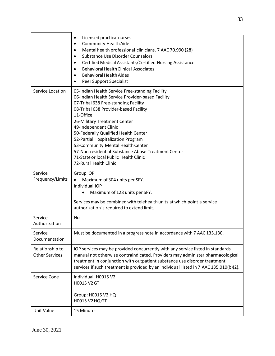|                                          | Licensed practical nurses<br>$\bullet$<br><b>Community Health Aide</b><br>$\bullet$<br>Mental health professional clinicians, 7 AAC 70.990 (28)<br>$\bullet$<br><b>Substance Use Disorder Counselors</b><br>$\bullet$<br>Certified Medical Assistants/Certified Nursing Assistance<br>$\bullet$<br><b>Behavioral Health Clinical Associates</b><br>$\bullet$<br><b>Behavioral Health Aides</b><br>Peer Support Specialist<br>$\bullet$                                                                   |
|------------------------------------------|----------------------------------------------------------------------------------------------------------------------------------------------------------------------------------------------------------------------------------------------------------------------------------------------------------------------------------------------------------------------------------------------------------------------------------------------------------------------------------------------------------|
| Service Location                         | 05-Indian Health Service Free-standing Facility<br>06-Indian Health Service Provider-based Facility<br>07-Tribal 638 Free-standing Facility<br>08-Tribal 638 Provider-based Facility<br>11-Office<br>26-Military Treatment Center<br>49-Independent Clinic<br>50-Federally Qualified Health Center<br>52-Partial Hospitalization Program<br>53-Community Mental Health Center<br>57-Non-residential Substance Abuse Treatment Center<br>71-State or local Public Health Clinic<br>72-Rural Health Clinic |
| Service<br>Frequency/Limits              | Group IOP<br>Maximum of 304 units per SFY.<br>$\bullet$<br>Individual IOP<br>Maximum of 128 units per SFY.<br>$\bullet$                                                                                                                                                                                                                                                                                                                                                                                  |
|                                          | Services may be combined with telehealth units at which point a service<br>authorization is required to extend limit.                                                                                                                                                                                                                                                                                                                                                                                    |
| Service<br>Authorization                 | No                                                                                                                                                                                                                                                                                                                                                                                                                                                                                                       |
| Service<br>Documentation                 | Must be documented in a progress note in accordance with 7 AAC 135.130                                                                                                                                                                                                                                                                                                                                                                                                                                   |
| Relationship to<br><b>Other Services</b> | IOP services may be provided concurrently with any service listed in standards<br>manual not otherwise contraindicated. Providers may administer pharmacological<br>treatment in conjunction with outpatient substance use disorder treatment<br>services if such treatment is provided by an individual listed in 7 AAC 135.010(b)(2).                                                                                                                                                                  |
| Service Code                             | Individual: H0015 V2<br>H0015 V2 GT<br>Group: H0015 V2 HQ<br>H0015 V2 HQ GT                                                                                                                                                                                                                                                                                                                                                                                                                              |
| <b>Unit Value</b>                        | 15 Minutes                                                                                                                                                                                                                                                                                                                                                                                                                                                                                               |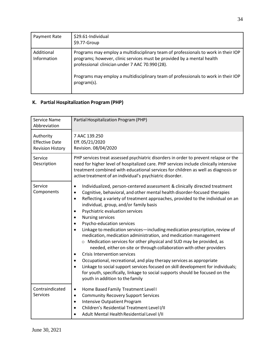| Payment Rate              | \$29.61-Individual<br>\$9.77-Group                                                                                                                                                                              |
|---------------------------|-----------------------------------------------------------------------------------------------------------------------------------------------------------------------------------------------------------------|
| Additional<br>Information | Programs may employ a multidisciplinary team of professionals to work in their IOP<br>programs; however, clinic services must be provided by a mental health<br>professional clinician under 7 AAC 70.990 (28). |
|                           | Programs may employ a multidisciplinary team of professionals to work in their IOP<br>program(s).                                                                                                               |

# <span id="page-33-0"></span>**K. Partial Hospitalization Program (PHP)**

| Service Name<br>Abbreviation                                  | Partial Hospitalization Program (PHP)                                                                                                                                                                                                                                                                                                                                                                                                                                                                                                                                                                                                                                                                                                                                                                                                                                                                                                                                                                                                                                                                           |
|---------------------------------------------------------------|-----------------------------------------------------------------------------------------------------------------------------------------------------------------------------------------------------------------------------------------------------------------------------------------------------------------------------------------------------------------------------------------------------------------------------------------------------------------------------------------------------------------------------------------------------------------------------------------------------------------------------------------------------------------------------------------------------------------------------------------------------------------------------------------------------------------------------------------------------------------------------------------------------------------------------------------------------------------------------------------------------------------------------------------------------------------------------------------------------------------|
| Authority<br><b>Effective Date</b><br><b>Revision History</b> | 7 AAC 139.250<br>Eff. 05/21/2020<br>Revision. 08/04/2020                                                                                                                                                                                                                                                                                                                                                                                                                                                                                                                                                                                                                                                                                                                                                                                                                                                                                                                                                                                                                                                        |
| Service<br>Description                                        | PHP services treat assessed psychiatric disorders in order to prevent relapse or the<br>need for higher level of hospitalized care. PHP services include clinically intensive<br>treatment combined with educational services for children as well as diagnosis or<br>active treatment of an individual's psychiatric disorder.                                                                                                                                                                                                                                                                                                                                                                                                                                                                                                                                                                                                                                                                                                                                                                                 |
| Service<br>Components                                         | Individualized, person-centered assessment & clinically directed treatment<br>$\bullet$<br>Cognitive, behavioral, and other mental health disorder-focused therapies<br>$\bullet$<br>Reflecting a variety of treatment approaches, provided to the individual on an<br>$\bullet$<br>individual, group, and/or family basis<br>Psychiatric evaluation services<br>$\bullet$<br><b>Nursing services</b><br>$\bullet$<br>Psycho-education services<br>Linkage to medication services-including medication prescription, review of<br>medication, medication administration, and medication management<br>o Medication services for other physical and SUD may be provided, as<br>needed, either on-site or through collaboration with other providers<br><b>Crisis Intervention services</b><br>$\bullet$<br>Occupational, recreational, and play therapy services as appropriate<br>$\bullet$<br>Linkage to social support services focused on skill development for individuals;<br>$\bullet$<br>for youth, specifically, linkage to social supports should be focused on the<br>youth in addition to the family |
| Contraindicated<br><b>Services</b>                            | Home Based Family Treatment Level I<br>$\bullet$<br><b>Community Recovery Support Services</b><br>$\bullet$<br><b>Intensive Outpatient Program</b><br>$\bullet$<br>Children's Residential Treatment Level I/II<br>Adult Mental Health Residential Level I/II                                                                                                                                                                                                                                                                                                                                                                                                                                                                                                                                                                                                                                                                                                                                                                                                                                                    |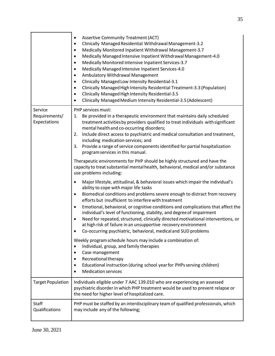|                                          | <b>Assertive Community Treatment (ACT)</b><br>٠<br>Clinically Managed Residential Withdrawal Management-3.2<br>Medically Monitored Inpatient Withdrawal Management-3.7<br>$\bullet$<br>Medically Managed Intensive Inpatient Withdrawal Management-4.0<br>$\bullet$<br>Medically Monitored Intensive Inpatient Services-3.7<br>$\bullet$<br>Medically Managed Intensive Inpatient Services-4.0<br>$\bullet$<br>Ambulatory Withdrawal Management<br>$\bullet$<br>Clinically Managed Low Intensity Residential-3.1<br>٠<br>Clinically Managed High Intensity Residential Treatment-3.3 (Population)<br>$\bullet$<br>Clinically Managed High Intensity Residential-3.5<br>$\bullet$<br>Clinically Managed Medium Intensity Residential-3.5 (Adolescent)<br>$\bullet$                                                                       |
|------------------------------------------|-----------------------------------------------------------------------------------------------------------------------------------------------------------------------------------------------------------------------------------------------------------------------------------------------------------------------------------------------------------------------------------------------------------------------------------------------------------------------------------------------------------------------------------------------------------------------------------------------------------------------------------------------------------------------------------------------------------------------------------------------------------------------------------------------------------------------------------------|
| Service<br>Requirements/<br>Expectations | PHP services must:<br>Be provided in a therapeutic environment that maintains daily scheduled<br>1.<br>treatment activities by providers qualified to treat individuals with significant<br>mental health and co-occurring disorders;<br>Include direct access to psychiatric and medical consultation and treatment,<br>2.<br>including medication services; and<br>Provide a range of service components identified for partial hospitalization<br>3.<br>program services in this manual.<br>Therapeutic environments for PHP should be highly structured and have the                                                                                                                                                                                                                                                                |
|                                          | capacity to treat substantial mental health, behavioral, medical and/or substance<br>use problems including:<br>Major lifestyle, attitudinal, & behavioral issues which impair the individual's<br>$\bullet$<br>ability to cope with major life tasks<br>Biomedical conditions and problems severe enough to distract from recovery<br>$\bullet$<br>efforts but insufficient to interfere with treatment<br>Emotional, behavioral, or cognitive conditions and complications that affect the<br>$\bullet$<br>individual's level of functioning, stability, and degree of impairment<br>Need for repeated, structured, clinically directed motivational interventions, or<br>$\bullet$<br>at high risk of failure in an unsupportive recovery environment<br>Co-occurring psychiatric, behavioral, medical and SUD problems<br>$\bullet$ |
|                                          | Weekly program schedule hours may include a combination of:<br>Individual, group, and family therapies<br>Case management<br>Recreational therapy<br>Educational instruction (during school year for PHPs serving children)<br><b>Medication services</b><br>$\bullet$                                                                                                                                                                                                                                                                                                                                                                                                                                                                                                                                                                  |
| <b>Target Population</b>                 | Individuals eligible under 7 AAC 139.010 who are experiencing an assessed<br>psychiatric disorder in which PHP treatment would be used to prevent relapse or<br>the need for higher level of hospitalized care.                                                                                                                                                                                                                                                                                                                                                                                                                                                                                                                                                                                                                         |
| Staff<br>Qualifications                  | PHP must be staffed by an interdisciplinary team of qualified professionals, which<br>may include any of the following;                                                                                                                                                                                                                                                                                                                                                                                                                                                                                                                                                                                                                                                                                                                 |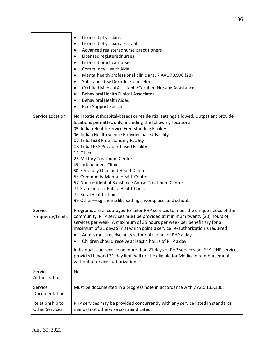|                                          | Licensed physicians<br>Licensed physician assistants<br>$\bullet$<br>Advanced registerednurse practitioners<br>٠<br>Licensed registerednurses<br>٠<br>Licensed practical nurses<br>٠<br><b>Community Health Aide</b><br>٠<br>Mental health professional clinicians, 7 AAC 70.990 (28)<br>٠<br>Substance Use Disorder Counselors<br>٠<br>Certified Medical Assistants/Certified Nursing Assistance<br>$\bullet$<br><b>Behavioral Health Clinical Associates</b><br>$\bullet$<br><b>Behavioral Health Aides</b><br>Peer Support Specialist                                                                                                                                                  |
|------------------------------------------|-------------------------------------------------------------------------------------------------------------------------------------------------------------------------------------------------------------------------------------------------------------------------------------------------------------------------------------------------------------------------------------------------------------------------------------------------------------------------------------------------------------------------------------------------------------------------------------------------------------------------------------------------------------------------------------------|
| Service Location                         | No inpatient (hospital-based) or residential settings allowed. Outpatient provider<br>locations permitted only, including the following locations:<br>05- Indian Health Service Free-standing Facility<br>06- Indian Health Service Provider-based Facility<br>07-Tribal 638 Free-standing Facility<br>08-Tribal 638 Provider-based Facility<br>11-Office<br>26-Military Treatment Center<br>49- Independent Clinic<br>50- Federally Qualified Health Center<br>53-Community Mental Health Center<br>57-Non-residential Substance Abuse Treatment Center<br>71-State or local Public Health Clinic<br>72-Rural Health Clinic<br>99-Other-e.g., home like settings, workplace, and school. |
| Service<br>Frequency/Limits              | Programs are encouraged to tailor PHP services to meet the unique needs of the<br>community. PHP services must be provided at minimum twenty (20) hours of<br>services per week. A maximum of 35 hours per week per beneficiary for a<br>maximum of 21 days SFY at which point a service re-authorization is required<br>Adults must receive at least four (4) hours of PHP a day.<br>Children should receive at least 4 hours of PHP a day.<br>٠<br>Individuals can receive no more than 21 days of PHP services per SFY. PHP services<br>provided beyond 21-day limit will not be eligible for Medicaid reimbursement<br>without a service authorization.                               |
| Service<br>Authorization                 | No                                                                                                                                                                                                                                                                                                                                                                                                                                                                                                                                                                                                                                                                                        |
| Service<br>Documentation                 | Must be documented in a progress note in accordance with 7 AAC 135.130.                                                                                                                                                                                                                                                                                                                                                                                                                                                                                                                                                                                                                   |
| Relationship to<br><b>Other Services</b> | PHP services may be provided concurrently with any service listed in standards<br>manual not otherwise contraindicated.                                                                                                                                                                                                                                                                                                                                                                                                                                                                                                                                                                   |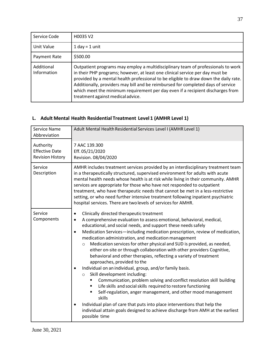| Service Code              | H0035 V2                                                                                                                                                                                                                                                                                                                                                                                                                                                             |
|---------------------------|----------------------------------------------------------------------------------------------------------------------------------------------------------------------------------------------------------------------------------------------------------------------------------------------------------------------------------------------------------------------------------------------------------------------------------------------------------------------|
| Unit Value                | $1$ day = $1$ unit                                                                                                                                                                                                                                                                                                                                                                                                                                                   |
| Payment Rate              | \$500.00                                                                                                                                                                                                                                                                                                                                                                                                                                                             |
| Additional<br>Information | Outpatient programs may employ a multidisciplinary team of professionals to work<br>in their PHP programs; however, at least one clinical service per day must be<br>provided by a mental health professional to be eligible to draw down the daily rate.<br>Additionally, providers may bill and be reimbursed for completed days of service<br>which meet the minimum requirement per day even if a recipient discharges from<br>treatment against medical advice. |

#### <span id="page-36-0"></span>**L. Adult Mental Health Residential Treatment Level 1 (AMHR Level 1)**

| Service Name<br>Abbreviation                                  | Adult Mental Health Residential Services Level I (AMHR Level 1)                                                                                                                                                                                                                                                                                                                                                                                                                                                                                                                                                                                                                                                                                                                                                                                                                                                                                                                                                                                                                                                                                                                     |
|---------------------------------------------------------------|-------------------------------------------------------------------------------------------------------------------------------------------------------------------------------------------------------------------------------------------------------------------------------------------------------------------------------------------------------------------------------------------------------------------------------------------------------------------------------------------------------------------------------------------------------------------------------------------------------------------------------------------------------------------------------------------------------------------------------------------------------------------------------------------------------------------------------------------------------------------------------------------------------------------------------------------------------------------------------------------------------------------------------------------------------------------------------------------------------------------------------------------------------------------------------------|
| Authority<br><b>Effective Date</b><br><b>Revision History</b> | 7 AAC 139.300<br>Eff. 05/21/2020<br>Revision. 08/04/2020                                                                                                                                                                                                                                                                                                                                                                                                                                                                                                                                                                                                                                                                                                                                                                                                                                                                                                                                                                                                                                                                                                                            |
| Service<br>Description                                        | AMHR includes treatment services provided by an interdisciplinary treatment team<br>in a therapeutically structured, supervised environment for adults with acute<br>mental health needs whose health is at risk while living in their community. AMHR<br>services are appropriate for those who have not responded to outpatient<br>treatment, who have therapeutic needs that cannot be met in a less-restrictive<br>setting, or who need further intensive treatment following inpatient psychiatric<br>hospital services. There are two levels of services for AMHR.                                                                                                                                                                                                                                                                                                                                                                                                                                                                                                                                                                                                            |
| Service<br>Components                                         | Clinically directed therapeutic treatment<br>$\bullet$<br>A comprehensive evaluation to assess emotional, behavioral, medical,<br>$\bullet$<br>educational, and social needs, and support these needs safely<br>Medication Services-including medication prescription, review of medication,<br>$\bullet$<br>medication administration, and medication management<br>Medication services for other physical and SUD is provided, as needed,<br>$\circ$<br>either on-site or through collaboration with other providers Cognitive,<br>behavioral and other therapies, reflecting a variety of treatment<br>approaches, provided to the<br>Individual on an individual, group, and/or family basis.<br>$\bullet$<br>Skill development including:<br>$\circ$<br>Communication, problem solving and conflict resolution skill building<br>Life skills and social skills required to restore functioning<br>٠<br>Self-regulation, anger management, and other mood management<br>٠<br>skills<br>Individual plan of care that puts into place interventions that help the<br>$\bullet$<br>individual attain goals designed to achieve discharge from AMH at the earliest<br>possible time |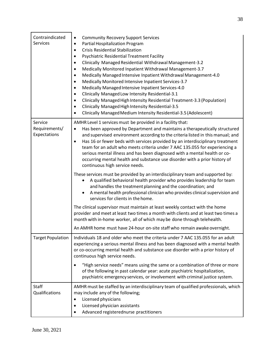| Contraindicated<br>Services              | <b>Community Recovery Support Services</b><br>$\bullet$<br>Partial Hospitalization Program<br>$\bullet$<br><b>Crisis Residential Stabilization</b><br>$\bullet$<br><b>Psychiatric Residential Treatment Facility</b><br>$\bullet$<br>Clinically Managed Residential Withdrawal Management-3.2<br>$\bullet$<br>Medically Monitored Inpatient Withdrawal Management-3.7<br>$\bullet$<br>Medically Managed Intensive Inpatient Withdrawal Management-4.0<br>$\bullet$<br>Medically Monitored Intensive Inpatient Services-3.7<br>٠<br>Medically Managed Intensive Inpatient Services-4.0<br>$\bullet$<br>Clinically Managed Low Intensity Residential-3.1<br>$\bullet$<br>Clinically Managed High Intensity Residential Treatment-3.3 (Population)<br>$\bullet$<br>Clinically Managed High Intensity Residential-3.5<br>Clinically Managed Medium Intensity Residential-3.5 (Adolescent)<br>$\bullet$ |
|------------------------------------------|----------------------------------------------------------------------------------------------------------------------------------------------------------------------------------------------------------------------------------------------------------------------------------------------------------------------------------------------------------------------------------------------------------------------------------------------------------------------------------------------------------------------------------------------------------------------------------------------------------------------------------------------------------------------------------------------------------------------------------------------------------------------------------------------------------------------------------------------------------------------------------------------------|
| Service<br>Requirements/<br>Expectations | AMHR Level 1 services must be provided in a facility that:<br>Has been approved by Department and maintains a therapeutically structured<br>$\bullet$<br>and supervised environment according to the criteria listed in this manual; and<br>Has 16 or fewer beds with services provided by an interdisciplinary treatment<br>$\bullet$<br>team for an adult who meets criteria under 7 AAC 135.055 for experiencing a<br>serious mental illness and has been diagnosed with a mental health or co-<br>occurring mental health and substance use disorder with a prior history of<br>continuous high service needs.                                                                                                                                                                                                                                                                                 |
|                                          | These services must be provided by an interdisciplinary team and supported by:<br>A qualified behavioral health provider who provides leadership for team<br>and handles the treatment planning and the coordination; and<br>A mental health professional clinician who provides clinical supervision and<br>$\bullet$<br>services for clients in the home.                                                                                                                                                                                                                                                                                                                                                                                                                                                                                                                                        |
|                                          | The clinical supervisor must maintain at least weekly contact with the home<br>provider and meet at least two times a month with clients and at least two times a<br>month with in-home worker, all of which may be done through telehealth.<br>An AMHR home must have 24-hour on-site staff who remain awake overnight.                                                                                                                                                                                                                                                                                                                                                                                                                                                                                                                                                                           |
| <b>Target Population</b>                 | Individuals 18 and older who meet the criteria under 7 AAC 135.055 for an adult<br>experiencing a serious mental illness and has been diagnosed with a mental health<br>or co-occurring mental health and substance use disorder with a prior history of<br>continuous high service needs.                                                                                                                                                                                                                                                                                                                                                                                                                                                                                                                                                                                                         |
|                                          | "High service needs" means using the same or a combination of three or more<br>$\bullet$<br>of the following in past calendar year: acute psychiatric hospitalization,<br>psychiatric emergency services, or involvement with criminal justice system.                                                                                                                                                                                                                                                                                                                                                                                                                                                                                                                                                                                                                                             |
| <b>Staff</b><br>Qualifications           | AMHR must be staffed by an interdisciplinary team of qualified professionals, which<br>may include any of the following;<br>Licensed physicians<br>٠<br>Licensed physician assistants<br>Advanced registerednurse practitioners                                                                                                                                                                                                                                                                                                                                                                                                                                                                                                                                                                                                                                                                    |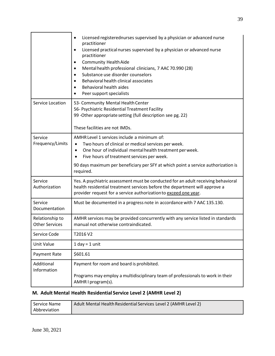|                                          | Licensed registerednurses supervised by a physician or advanced nurse<br>$\bullet$<br>practitioner<br>Licensed practical nurses supervised by a physician or advanced nurse<br>$\bullet$<br>practitioner<br><b>Community Health Aide</b><br>٠<br>Mental health professional clinicians, 7 AAC 70.990 (28)<br>$\bullet$<br>Substance use disorder counselors<br>$\bullet$<br>Behavioral health clinical associates<br>Behavioral health aides<br>Peer support specialists |
|------------------------------------------|--------------------------------------------------------------------------------------------------------------------------------------------------------------------------------------------------------------------------------------------------------------------------------------------------------------------------------------------------------------------------------------------------------------------------------------------------------------------------|
| Service Location                         | 53- Community Mental Health Center<br>56- Psychiatric Residential Treatment Facility<br>99 - Other appropriate setting (full description see pg. 22)<br>These facilities are not IMDs.                                                                                                                                                                                                                                                                                   |
| Service<br>Frequency/Limits              | AMHR Level 1 services include a minimum of:<br>Two hours of clinical or medical services per week.<br>$\bullet$<br>One hour of individual mental health treatment per week.<br>$\bullet$<br>Five hours of treatment services per week.<br>90 days maximum per beneficiary per SFY at which point a service authorization is<br>required.                                                                                                                                 |
| Service<br>Authorization                 | Yes. A psychiatric assessment must be conducted for an adult receiving behavioral<br>health residential treatment services before the department will approve a<br>provider request for a service authorization to exceed one year.                                                                                                                                                                                                                                      |
| Service<br>Documentation                 | Must be documented in a progress note in accordance with 7 AAC 135.130.                                                                                                                                                                                                                                                                                                                                                                                                  |
| Relationship to<br><b>Other Services</b> | AMHR services may be provided concurrently with any service listed in standards<br>manual not otherwise contraindicated.                                                                                                                                                                                                                                                                                                                                                 |
| Service Code                             | T2016 V2                                                                                                                                                                                                                                                                                                                                                                                                                                                                 |
| <b>Unit Value</b>                        | $1$ day = $1$ unit                                                                                                                                                                                                                                                                                                                                                                                                                                                       |
| Payment Rate                             | \$601.61                                                                                                                                                                                                                                                                                                                                                                                                                                                                 |
| Additional<br>Information                | Payment for room and board is prohibited.<br>Programs may employ a multidisciplinary team of professionals to work in their<br>AMHR I program(s).                                                                                                                                                                                                                                                                                                                        |

#### <span id="page-38-0"></span>**M. Adult Mental Health Residential Service Level 2 (AMHR Level 2)**

| l Service Name | Adult Mental Health Residential Services Level 2 (AMHR Level 2) |
|----------------|-----------------------------------------------------------------|
| Abbreviation   |                                                                 |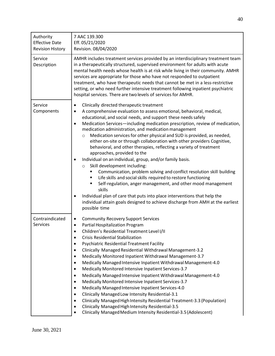| Authority<br><b>Effective Date</b><br><b>Revision History</b> | 7 AAC 139.300<br>Eff. 05/21/2020<br>Revision. 08/04/2020                                                                                                                                                                                                                                                                                                                                                                                                                                                                                                                                                                                                                                                                                                                                                                                                                                                                                                                                                                                                                                                                                                                     |
|---------------------------------------------------------------|------------------------------------------------------------------------------------------------------------------------------------------------------------------------------------------------------------------------------------------------------------------------------------------------------------------------------------------------------------------------------------------------------------------------------------------------------------------------------------------------------------------------------------------------------------------------------------------------------------------------------------------------------------------------------------------------------------------------------------------------------------------------------------------------------------------------------------------------------------------------------------------------------------------------------------------------------------------------------------------------------------------------------------------------------------------------------------------------------------------------------------------------------------------------------|
| Service<br>Description                                        | AMHR includes treatment services provided by an interdisciplinary treatment team<br>in a therapeutically structured, supervised environment for adults with acute<br>mental health needs whose health is at risk while living in their community. AMHR<br>services are appropriate for those who have not responded to outpatient<br>treatment, who have therapeutic needs that cannot be met in a less-restrictive<br>setting, or who need further intensive treatment following inpatient psychiatric<br>hospital services. There are two levels of services for AMHR.                                                                                                                                                                                                                                                                                                                                                                                                                                                                                                                                                                                                     |
| Service<br>Components                                         | Clinically directed therapeutic treatment<br>$\bullet$<br>A comprehensive evaluation to assess emotional, behavioral, medical,<br>$\bullet$<br>educational, and social needs, and support these needs safely<br>Medication Services-including medication prescription, review of medication,<br>$\bullet$<br>medication administration, and medication management<br>Medication services for other physical and SUD is provided, as needed,<br>$\circ$<br>either on-site or through collaboration with other providers Cognitive,<br>behavioral, and other therapies, reflecting a variety of treatment<br>approaches, provided to the<br>Individual on an individual, group, and/or family basis.<br>Skill development including:<br>$\circ$<br>Communication, problem solving and conflict resolution skill building<br>٠<br>Life skills and social skills required to restore functioning<br>٠<br>Self-regulation, anger management, and other mood management<br>٠<br>skills<br>Individual plan of care that puts into place interventions that help the<br>$\bullet$<br>individual attain goals designed to achieve discharge from AMH at the earliest<br>possible time |
| Contraindicated<br>Services                                   | <b>Community Recovery Support Services</b><br>٠<br>Partial Hospitalization Program<br>٠<br>Children's Residential Treatment Level I/II<br><b>Crisis Residential Stabilization</b><br>$\bullet$<br><b>Psychiatric Residential Treatment Facility</b><br>٠<br>Clinically Managed Residential Withdrawal Management-3.2<br>٠<br>Medically Monitored Inpatient Withdrawal Management-3.7<br>$\bullet$<br>Medically Managed Intensive Inpatient Withdrawal Management-4.0<br>$\bullet$<br>Medically Monitored Intensive Inpatient Services-3.7<br>$\bullet$<br>Medically Managed Intensive Inpatient Withdrawal Management-4.0<br>$\bullet$<br>Medically Monitored Intensive Inpatient Services-3.7<br>$\bullet$<br>Medically Managed Intensive Inpatient Services-4.0<br>$\bullet$<br>Clinically Managed Low Intensity Residential-3.1<br>$\bullet$<br>Clinically Managed High Intensity Residential Treatment-3.3 (Population)<br>$\bullet$<br>Clinically Managed High Intensity Residential-3.5<br>$\bullet$<br>Clinically Managed Medium Intensity Residential-3.5 (Adolescent)<br>$\bullet$                                                                                  |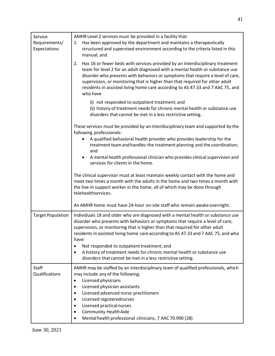| Service<br>Requirements/<br>Expectations | AMHR Level 2 services must be provided in a facility that:<br>Has been approved by the department and maintains a therapeutically<br>1.<br>structured and supervised environment according to the criteria listed in this<br>manual; and                                                                                                                                                                                                                                                                                                               |
|------------------------------------------|--------------------------------------------------------------------------------------------------------------------------------------------------------------------------------------------------------------------------------------------------------------------------------------------------------------------------------------------------------------------------------------------------------------------------------------------------------------------------------------------------------------------------------------------------------|
|                                          | Has 16 or fewer beds with services provided by an interdisciplinary treatment<br>2.<br>team for level 2 for an adult diagnosed with a mental health or substance use<br>disorder who presents with behaviors or symptoms that require a level of care,<br>supervision, or monitoring that is higher than that required for other adult<br>residents in assisted living home care according to AS 47.33 and 7 AAC 75, and<br>who have                                                                                                                   |
|                                          | (i) not responded to outpatient treatment; and<br>(ii) history of treatment needs for chronic mental health or substance use<br>disorders that cannot be met in a less restrictive setting.                                                                                                                                                                                                                                                                                                                                                            |
|                                          | These services must be provided by an interdisciplinary team and supported by the<br>following professionals:                                                                                                                                                                                                                                                                                                                                                                                                                                          |
|                                          | A qualified behavioral health provider who provides leadership for the<br>treatment team and handles the treatment planning and the coordination;<br>and                                                                                                                                                                                                                                                                                                                                                                                               |
|                                          | A mental health professional clinician who provides clinical supervision and<br>services for clients in the home.                                                                                                                                                                                                                                                                                                                                                                                                                                      |
|                                          | The clinical supervisor must at least maintain weekly contact with the home and<br>meet two times a month with the adults in the home and two times a month with<br>the live-in support worker in the home, all of which may be done through<br>telehealthservices.                                                                                                                                                                                                                                                                                    |
|                                          | An AMHR home must have 24-hour on-site staff who remain awake overnight.                                                                                                                                                                                                                                                                                                                                                                                                                                                                               |
| <b>Target Population</b>                 | Individuals 18 and older who are diagnosed with a mental health or substance use<br>disorder who presents with behaviors or symptoms that require a level of care,<br>supervision, or monitoring that is higher than that required for other adult<br>residents in assisted living home care according to AS 47.33 and 7 AAC 75, and who<br>have:<br>Not responded to outpatient treatment; and<br>$\bullet$<br>A history of treatment needs for chronic mental health or substance use<br>disorders that cannot be met in a less restrictive setting. |
| <b>Staff</b><br>Qualifications           | AMHR may be staffed by an interdisciplinary team of qualified professionals, which<br>may include any of the following;<br>Licensed physicians<br>$\bullet$<br>Licensed physician assistants<br>$\bullet$<br>Licensed advanced nurse practitioners<br>٠<br>Licensed registerednurses<br>$\bullet$<br>Licensed practical nurses<br>$\bullet$<br><b>Community Health Aide</b><br>Mental health professional clinicians, 7 AAC 70.990 (28)                                                                                                                |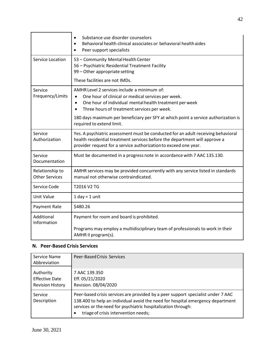|                                          | Substance use disorder counselors<br>$\bullet$<br>Behavioral health clinical associates or behavioral health aides<br>$\bullet$<br>Peer support specialists<br>$\bullet$                                                              |
|------------------------------------------|---------------------------------------------------------------------------------------------------------------------------------------------------------------------------------------------------------------------------------------|
| <b>Service Location</b>                  | 53 - Community Mental Health Center<br>56 - Psychiatric Residential Treatment Facility<br>99 - Other appropriate setting                                                                                                              |
|                                          | These facilities are not IMDs.                                                                                                                                                                                                        |
| Service<br>Frequency/Limits              | AMHR Level 2 services include a minimum of:<br>One hour of clinical or medical services per week.<br>One hour of individual mental health treatment per week<br>$\bullet$<br>Three hours of treatment services per week.<br>$\bullet$ |
|                                          | 180 days maximum per beneficiary per SFY at which point a service authorization is<br>required to extend limit.                                                                                                                       |
| Service<br>Authorization                 | Yes. A psychiatric assessment must be conducted for an adult receiving behavioral<br>health residential treatment services before the department will approve a<br>provider request for a service authorization to exceed one year.   |
| Service<br>Documentation                 | Must be documented in a progress note in accordance with 7 AAC 135.130.                                                                                                                                                               |
| Relationship to<br><b>Other Services</b> | AMHR services may be provided concurrently with any service listed in standards<br>manual not otherwise contraindicated.                                                                                                              |
| Service Code                             | T2016 V2 TG                                                                                                                                                                                                                           |
| <b>Unit Value</b>                        | $1$ day = $1$ unit                                                                                                                                                                                                                    |
| Payment Rate                             | \$480.26                                                                                                                                                                                                                              |
| Additional<br>Information                | Payment for room and board is prohibited.<br>Programs may employ a multidisciplinary team of professionals to work in their<br>AMHR II program(s).                                                                                    |

#### <span id="page-41-0"></span>**N. Peer-Based Crisis Services**

| Service Name<br>Abbreviation                                  | <b>Peer-Based Crisis Services</b>                                                                                                                                                                                                                                                        |
|---------------------------------------------------------------|------------------------------------------------------------------------------------------------------------------------------------------------------------------------------------------------------------------------------------------------------------------------------------------|
| Authority<br><b>Effective Date</b><br><b>Revision History</b> | 7 AAC 139.350<br>Eff. 05/21/2020<br>Revision. 08/04/2020                                                                                                                                                                                                                                 |
| Service<br>Description                                        | Peer-based crisis services are provided by a peer support specialist under 7 AAC<br>138.400 to help an individual avoid the need for hospital emergency department<br>services or the need for psychiatric hospitalization through:<br>triage of crisis intervention needs;<br>$\bullet$ |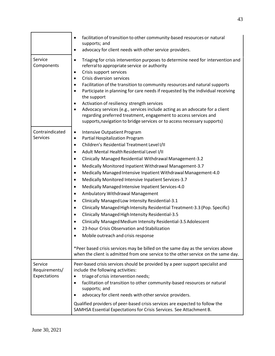|                                          | facilitation of transition to other community-based resources or natural<br>$\bullet$<br>supports; and                                                                                                                                                                                                                                                                                                                                                                                                                                                                                                                                                                                                                                                                                                                                                                                                                                                                                                                                                                                                                                                                                                                                       |
|------------------------------------------|----------------------------------------------------------------------------------------------------------------------------------------------------------------------------------------------------------------------------------------------------------------------------------------------------------------------------------------------------------------------------------------------------------------------------------------------------------------------------------------------------------------------------------------------------------------------------------------------------------------------------------------------------------------------------------------------------------------------------------------------------------------------------------------------------------------------------------------------------------------------------------------------------------------------------------------------------------------------------------------------------------------------------------------------------------------------------------------------------------------------------------------------------------------------------------------------------------------------------------------------|
|                                          | advocacy for client needs with other service providers.<br>$\bullet$                                                                                                                                                                                                                                                                                                                                                                                                                                                                                                                                                                                                                                                                                                                                                                                                                                                                                                                                                                                                                                                                                                                                                                         |
| Service<br>Components                    | Triaging for crisis intervention purposes to determine need for intervention and<br>$\bullet$<br>referral to appropriate service or authority<br>Crisis support services<br>$\bullet$<br>Crisis diversion services<br>$\bullet$<br>Facilitation of the transition to community resources and natural supports<br>$\bullet$<br>Participate in planning for care needs if requested by the individual receiving<br>$\bullet$<br>the support<br>Activation of resiliency strength services<br>٠<br>Advocacy services (e.g., services include acting as an advocate for a client<br>$\bullet$<br>regarding preferred treatment, engagement to access services and<br>supports, navigation to bridge services or to access necessary supports)                                                                                                                                                                                                                                                                                                                                                                                                                                                                                                    |
| Contraindicated<br>Services              | <b>Intensive Outpatient Program</b><br>$\bullet$<br>Partial Hospitalization Program<br>$\bullet$<br>Children's Residential Treatment Level I/II<br>$\bullet$<br>Adult Mental Health Residential Level I/II<br>$\bullet$<br>Clinically Managed Residential Withdrawal Management-3.2<br>$\bullet$<br>Medically Monitored Inpatient Withdrawal Management-3.7<br>$\bullet$<br>Medically Managed Intensive Inpatient Withdrawal Management-4.0<br>$\bullet$<br>Medically Monitored Intensive Inpatient Services-3.7<br>$\bullet$<br>Medically Managed Intensive Inpatient Services-4.0<br>$\bullet$<br>Ambulatory Withdrawal Management<br>$\bullet$<br>Clinically Managed Low Intensity Residential-3.1<br>$\bullet$<br>Clinically Managed High Intensity Residential Treatment-3.3 (Pop. Specific)<br>$\bullet$<br>Clinically Managed High Intensity Residential-3.5<br>$\bullet$<br>Clinically Managed Medium Intensity Residential-3.5 Adolescent<br>$\bullet$<br>23-hour Crisis Observation and Stabilization<br>$\bullet$<br>Mobile outreach and crisis response<br>*Peer based crisis services may be billed on the same day as the services above<br>when the client is admitted from one service to the other service on the same day. |
| Service<br>Requirements/<br>Expectations | Peer-based crisis services should be provided by a peer support specialist and<br>include the following activities:<br>triage of crisis intervention needs;<br>٠<br>facilitation of transition to other community-based resources or natural<br>$\bullet$<br>supports; and<br>advocacy for client needs with other service providers.<br>٠<br>Qualified providers of peer-based crisis services are expected to follow the<br>SAMHSA Essential Expectations for Crisis Services. See Attachment B.                                                                                                                                                                                                                                                                                                                                                                                                                                                                                                                                                                                                                                                                                                                                           |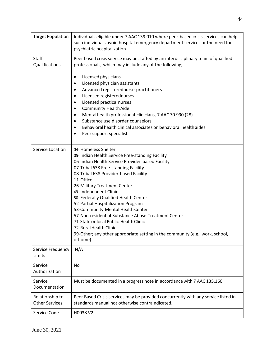| <b>Target Population</b>                 | Individuals eligible under 7 AAC 139.010 where peer-based crisis services can help<br>such individuals avoid hospital emergency department services or the need for<br>psychiatric hospitalization.                                                                                                                                                                                                                                                                                                                                                                                                                                 |
|------------------------------------------|-------------------------------------------------------------------------------------------------------------------------------------------------------------------------------------------------------------------------------------------------------------------------------------------------------------------------------------------------------------------------------------------------------------------------------------------------------------------------------------------------------------------------------------------------------------------------------------------------------------------------------------|
| Staff<br>Qualifications                  | Peer based crisis service may be staffed by an interdisciplinary team of qualified<br>professionals, which may include any of the following;<br>Licensed physicians<br>٠<br>Licensed physician assistants<br>٠<br>Advanced registerednurse practitioners<br>$\bullet$<br>Licensed registerednurses<br>٠<br>Licensed practical nurses<br>٠<br><b>Community Health Aide</b><br>$\bullet$<br>Mental health professional clinicians, 7 AAC 70.990 (28)<br>$\bullet$<br>Substance use disorder counselors<br>٠<br>Behavioral health clinical associates or behavioral health aides<br>$\bullet$<br>Peer support specialists<br>$\bullet$ |
| Service Location                         | 04- Homeless Shelter<br>05- Indian Health Service Free-standing Facility<br>06-Indian Health Service Provider-based Facility<br>07-Tribal 638 Free-standing Facility<br>08-Tribal 638 Provider-based Facility<br>11-Office<br>26-Military Treatment Center<br>49- Independent Clinic<br>50- Federally Qualified Health Center<br>52-Partial Hospitalization Program<br>53-Community Mental Health Center<br>57-Non-residential Substance Abuse Treatment Center<br>71-State or local Public Health Clinic<br>72-Rural Health Clinic<br>99-Other; any other appropriate setting in the community (e.g., work, school,<br>orhome)     |
| Service Frequency<br>Limits              | N/A                                                                                                                                                                                                                                                                                                                                                                                                                                                                                                                                                                                                                                 |
| Service<br>Authorization                 | No                                                                                                                                                                                                                                                                                                                                                                                                                                                                                                                                                                                                                                  |
| Service<br>Documentation                 | Must be documented in a progress note in accordance with 7 AAC 135.160.                                                                                                                                                                                                                                                                                                                                                                                                                                                                                                                                                             |
| Relationship to<br><b>Other Services</b> | Peer Based Crisis services may be provided concurrently with any service listed in<br>standards manual not otherwise contraindicated.                                                                                                                                                                                                                                                                                                                                                                                                                                                                                               |
| Service Code                             | H0038 V2                                                                                                                                                                                                                                                                                                                                                                                                                                                                                                                                                                                                                            |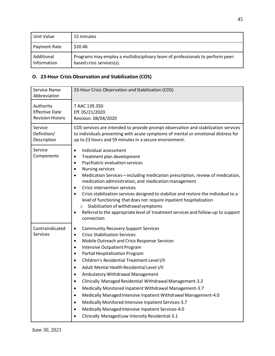| Unit Value                | 15 minutes                                                                                                  |
|---------------------------|-------------------------------------------------------------------------------------------------------------|
| Payment Rate              | \$20.46                                                                                                     |
| Additional<br>Information | Programs may employ a multidisciplinary team of professionals to perform peer-<br>based crisis services(s). |

#### <span id="page-44-0"></span>**O. 23-Hour Crisis Observation and Stabilization (COS)**

| Service Name<br>Abbreviation                                  | 23-Hour Crisis Observation and Stabilization (COS)                                                                                                                                                                                                                                                                                                                                                                                                                                                                                                                                                                                                                                                                                            |
|---------------------------------------------------------------|-----------------------------------------------------------------------------------------------------------------------------------------------------------------------------------------------------------------------------------------------------------------------------------------------------------------------------------------------------------------------------------------------------------------------------------------------------------------------------------------------------------------------------------------------------------------------------------------------------------------------------------------------------------------------------------------------------------------------------------------------|
| Authority<br><b>Effective Date</b><br><b>Revision History</b> | 7 AAC 139.350<br>Eff. 05/21/2020<br>Revision. 08/04/2020                                                                                                                                                                                                                                                                                                                                                                                                                                                                                                                                                                                                                                                                                      |
| Service<br>Definition/<br>Description                         | COS services are intended to provide prompt observation and stabilization services<br>to individuals presenting with acute symptoms of mental or emotional distress for<br>up to 23 hours and 59 minutes in a secure environment.                                                                                                                                                                                                                                                                                                                                                                                                                                                                                                             |
| Service<br>Components                                         | Individual assessment<br>$\bullet$<br>Treatment plan development<br>$\bullet$<br>Psychiatric evaluation services<br>$\bullet$<br><b>Nursing services</b><br>٠<br>Medication Services-including medication prescription, review of medication,<br>$\bullet$<br>medication administration, and medication management<br>Crisis intervention services<br>$\bullet$<br>Crisis stabilization services designed to stabilize and restore the individual to a<br>$\bullet$<br>level of functioning that does not require inpatient hospitalization<br>Stabilization of withdrawal symptoms<br>$\circ$<br>Referral to the appropriate level of treatment services and follow-up to support<br>connection                                              |
| Contraindicated<br><b>Services</b>                            | <b>Community Recovery Support Services</b><br>٠<br><b>Crisis Stabilization Services</b><br>$\bullet$<br>Mobile Outreach and Crisis Response Services<br>٠<br><b>Intensive Outpatient Program</b><br>Partial Hospitalization Program<br>$\bullet$<br>Children's Residential Treatment Level I/II<br>Adult Mental Health Residential Level I/II<br>Ambulatory Withdrawal Management<br>Clinically Managed Residential Withdrawal Management-3.2<br>Medically Monitored Inpatient Withdrawal Management-3.7<br>Medically Managed Intensive Inpatient Withdrawal Management-4.0<br>Medically Monitored Intensive Inpatient Services-3.7<br>Medically Managed Intensive Inpatient Services-4.0<br>Clinically Managed Low Intensity Residential-3.1 |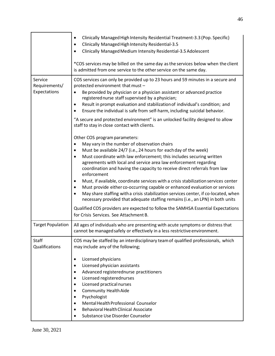|                                          | Clinically Managed High Intensity Residential Treatment-3.3 (Pop. Specific)<br>$\bullet$<br>Clinically Managed High Intensity Residential-3.5<br>$\bullet$<br>Clinically Managed Medium Intensity Residential-3.5 Adolescent<br>$\bullet$                                                                                                                                                                                                                                                                                                                                                                                                                                                                                                                                                                                                                                                                                                                                                                                                                                                                                                                                                                                                                                                                                                                                                                                                                                                           |
|------------------------------------------|-----------------------------------------------------------------------------------------------------------------------------------------------------------------------------------------------------------------------------------------------------------------------------------------------------------------------------------------------------------------------------------------------------------------------------------------------------------------------------------------------------------------------------------------------------------------------------------------------------------------------------------------------------------------------------------------------------------------------------------------------------------------------------------------------------------------------------------------------------------------------------------------------------------------------------------------------------------------------------------------------------------------------------------------------------------------------------------------------------------------------------------------------------------------------------------------------------------------------------------------------------------------------------------------------------------------------------------------------------------------------------------------------------------------------------------------------------------------------------------------------------|
|                                          | *COS services may be billed on the same day as the services below when the client<br>is admitted from one service to the other service on the same day.                                                                                                                                                                                                                                                                                                                                                                                                                                                                                                                                                                                                                                                                                                                                                                                                                                                                                                                                                                                                                                                                                                                                                                                                                                                                                                                                             |
| Service<br>Requirements/<br>Expectations | COS services can only be provided up to 23 hours and 59 minutes in a secure and<br>protected environment that must -<br>Be provided by physician or a physician assistant or advanced practice<br>registered nurse staff supervised by a physician;<br>Result in prompt evaluation and stabilization of individual's condition; and<br>$\bullet$<br>Ensure the individual is safe from self-harm, including suicidal behavior.<br>"A secure and protected environment" is an unlocked facility designed to allow<br>staff to stay in close contact with clients.<br>Other COS program parameters:<br>May vary in the number of observation chairs<br>$\bullet$<br>Must be available 24/7 (i.e., 24 hours for each day of the week)<br>$\bullet$<br>Must coordinate with law enforcement; this includes securing written<br>$\bullet$<br>agreements with local and service area law enforcement regarding<br>coordination and having the capacity to receive direct referrals from law<br>enforcement<br>Must, if available, coordinate services with a crisis stabilization services center<br>Must provide either co-occurring capable or enhanced evaluation or services<br>٠<br>May share staffing with a crisis stabilization services center, if co-located, when<br>$\bullet$<br>necessary provided that adequate staffing remains (i.e., an LPN) in both units<br>Qualified COS providers are expected to follow the SAMHSA Essential Expectations<br>for Crisis Services. See Attachment B. |
| <b>Target Population</b>                 | All ages of individuals who are presenting with acute symptoms or distress that<br>cannot be managed safely or effectively in a less restrictive environment.                                                                                                                                                                                                                                                                                                                                                                                                                                                                                                                                                                                                                                                                                                                                                                                                                                                                                                                                                                                                                                                                                                                                                                                                                                                                                                                                       |
| <b>Staff</b><br>Qualifications           | COS may be staffed by an interdisciplinary team of qualified professionals, which<br>may include any of the following;<br>Licensed physicians<br>$\bullet$<br>Licensed physician assistants<br>$\bullet$<br>Advanced registerednurse practitioners<br>$\bullet$<br>Licensed registerednurses<br>٠<br>Licensed practical nurses<br>$\bullet$<br><b>Community Health Aide</b><br>٠<br>Psychologist<br>Mental Health Professional Counselor<br>$\bullet$<br><b>Behavioral Health Clinical Associate</b><br>$\bullet$<br>Substance Use Disorder Counselor                                                                                                                                                                                                                                                                                                                                                                                                                                                                                                                                                                                                                                                                                                                                                                                                                                                                                                                                               |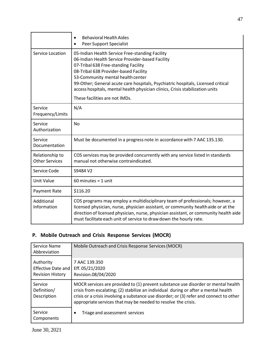|                                          | <b>Behavioral Health Aides</b><br>$\bullet$<br>Peer Support Specialist<br>$\bullet$                                                                                                                                                                                                                                                                                                                                              |
|------------------------------------------|----------------------------------------------------------------------------------------------------------------------------------------------------------------------------------------------------------------------------------------------------------------------------------------------------------------------------------------------------------------------------------------------------------------------------------|
| Service Location                         | 05-Indian Health Service Free-standing Facility<br>06-Indian Health Service Provider-based Facility<br>07-Tribal 638 Free-standing Facility<br>08-Tribal 638 Provider-based Facility<br>53-Community mental health center<br>99-Other; General acute care hospitals, Psychiatric hospitals, Licensed critical<br>access hospitals, mental health physician clinics, Crisis stabilization units<br>These facilities are not IMDs. |
| Service<br>Frequency/Limits              | N/A                                                                                                                                                                                                                                                                                                                                                                                                                              |
| Service<br>Authorization                 | <b>No</b>                                                                                                                                                                                                                                                                                                                                                                                                                        |
| Service<br>Documentation                 | Must be documented in a progress note in accordance with 7 AAC 135.130.                                                                                                                                                                                                                                                                                                                                                          |
| Relationship to<br><b>Other Services</b> | COS services may be provided concurrently with any service listed in standards<br>manual not otherwise contraindicated.                                                                                                                                                                                                                                                                                                          |
| Service Code                             | S9484 V2                                                                                                                                                                                                                                                                                                                                                                                                                         |
| <b>Unit Value</b>                        | $60$ minutes = 1 unit                                                                                                                                                                                                                                                                                                                                                                                                            |
| Payment Rate                             | \$116.20                                                                                                                                                                                                                                                                                                                                                                                                                         |
| Additional<br>Information                | COS programs may employ a multidisciplinary team of professionals; however, a<br>licensed physician, nurse, physician assistant, or community health aide or at the<br>direction of licensed physician, nurse, physician assistant, or community health aide<br>must facilitate each unit of service to draw down the hourly rate.                                                                                               |

# <span id="page-46-0"></span>**P. Mobile Outreach and Crisis Response Services (MOCR)**

| Service Name<br>Abbreviation          | Mobile Outreach and Crisis Response Services (MOCR)                                                                                                                                                                                                                                                                                    |
|---------------------------------------|----------------------------------------------------------------------------------------------------------------------------------------------------------------------------------------------------------------------------------------------------------------------------------------------------------------------------------------|
| Authority                             | 7 AAC 139.350                                                                                                                                                                                                                                                                                                                          |
| <b>Effective Date and</b>             | Eff. 05/21/2020                                                                                                                                                                                                                                                                                                                        |
| <b>Revision History</b>               | Revision.08/04/2020                                                                                                                                                                                                                                                                                                                    |
| Service<br>Definition/<br>Description | MOCR services are provided to (1) prevent substance use disorder or mental health<br>crisis from escalating; (2) stabilize an individual during or after a mental health<br>crisis or a crisis involving a substance use disorder; or (3) refer and connect to other<br>appropriate services that may be needed to resolve the crisis. |
| Service                               | Triage and assessment services                                                                                                                                                                                                                                                                                                         |
| Components                            |                                                                                                                                                                                                                                                                                                                                        |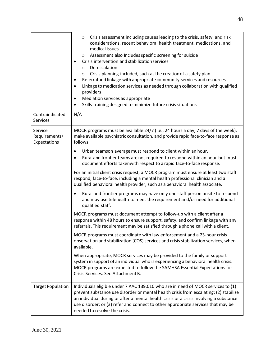|                                          | Crisis assessment including causes leading to the crisis, safety, and risk<br>$\circ$<br>considerations, recent behavioral health treatment, medications, and<br>medical issues<br>Assessment also Includes specific screening for suicide<br>O<br>Crisis intervention and stabilization services<br>De-escalation<br>$\circ$<br>Crisis planning included, such as the creation of a safety plan<br>$\circ$<br>Referral and linkage with appropriate community services and resources<br>٠<br>Linkage to medication services as needed through collaboration with qualified<br>$\bullet$<br>providers<br>Mediation services as appropriate<br>٠<br>Skills training designed to minimize future crisis situations |
|------------------------------------------|------------------------------------------------------------------------------------------------------------------------------------------------------------------------------------------------------------------------------------------------------------------------------------------------------------------------------------------------------------------------------------------------------------------------------------------------------------------------------------------------------------------------------------------------------------------------------------------------------------------------------------------------------------------------------------------------------------------|
| Contraindicated<br>Services              | N/A                                                                                                                                                                                                                                                                                                                                                                                                                                                                                                                                                                                                                                                                                                              |
| Service<br>Requirements/<br>Expectations | MOCR programs must be available 24/7 (i.e., 24 hours a day, 7 days of the week),<br>make available psychiatric consultation, and provide rapid face-to-face response as<br>follows:                                                                                                                                                                                                                                                                                                                                                                                                                                                                                                                              |
|                                          | Urban teamson average must respond to client within an hour.<br>٠<br>Rural and frontier teams are not required to respond within an hour but must<br>$\bullet$<br>document efforts takenwith respect to a rapid face-to-face response.                                                                                                                                                                                                                                                                                                                                                                                                                                                                           |
|                                          | For an initial client crisis request, a MOCR program must ensure at least two staff<br>respond, face-to-face, including a mental health professional clinician and a<br>qualified behavioral health provider, such as a behavioral health associate.                                                                                                                                                                                                                                                                                                                                                                                                                                                             |
|                                          | Rural and frontier programs may have only one staff person onsite to respond<br>$\bullet$<br>and may use telehealth to meet the requirement and/or need for additional<br>qualified staff.                                                                                                                                                                                                                                                                                                                                                                                                                                                                                                                       |
|                                          | MOCR programs must document attempt to follow-up with a client after a<br>response within 48 hours to ensure support, safety, and confirm linkage with any<br>referrals. This requirement may be satisfied through a phone call with a client.                                                                                                                                                                                                                                                                                                                                                                                                                                                                   |
|                                          | MOCR programs must coordinate with law enforcement and a 23-hour crisis<br>observation and stabilization (COS) services and crisis stabilization services, when<br>available.                                                                                                                                                                                                                                                                                                                                                                                                                                                                                                                                    |
|                                          | When appropriate, MOCR services may be provided to the family or support<br>system in support of an individual who is experiencing a behavioral health crisis.<br>MOCR programs are expected to follow the SAMHSA Essential Expectations for<br>Crisis Services. See Attachment B.                                                                                                                                                                                                                                                                                                                                                                                                                               |
| <b>Target Population</b>                 | Individuals eligible under 7 AAC 139.010 who are in need of MOCR services to (1)<br>prevent substance use disorder or mental health crisis from escalating; (2) stabilize<br>an individual during or after a mental health crisis or a crisis involving a substance<br>use disorder; or (3) refer and connect to other appropriate services that may be<br>needed to resolve the crisis.                                                                                                                                                                                                                                                                                                                         |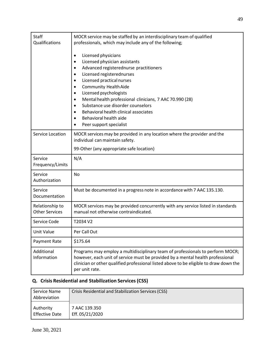| Staff<br>Qualifications                  | MOCR service may be staffed by an interdisciplinary team of qualified<br>professionals, which may include any of the following;<br>Licensed physicians<br>$\bullet$<br>Licensed physician assistants<br>Advanced registerednurse practitioners<br>$\bullet$<br>Licensed registerednurses<br>$\bullet$<br>Licensed practical nurses<br>٠<br><b>Community Health Aide</b><br>$\bullet$<br>Licensed psychologists<br>$\bullet$<br>Mental health professional clinicians, 7 AAC 70.990 (28)<br>٠<br>Substance use disorder counselors<br>$\bullet$<br>Behavioral health clinical associates<br>$\bullet$<br>Behavioral health aide<br>Peer support specialist |
|------------------------------------------|-----------------------------------------------------------------------------------------------------------------------------------------------------------------------------------------------------------------------------------------------------------------------------------------------------------------------------------------------------------------------------------------------------------------------------------------------------------------------------------------------------------------------------------------------------------------------------------------------------------------------------------------------------------|
| Service Location                         | MOCR services may be provided in any location where the provider and the<br>individual can maintain safety.                                                                                                                                                                                                                                                                                                                                                                                                                                                                                                                                               |
|                                          | 99-Other (any appropriate safe location)                                                                                                                                                                                                                                                                                                                                                                                                                                                                                                                                                                                                                  |
| Service<br>Frequency/Limits              | N/A                                                                                                                                                                                                                                                                                                                                                                                                                                                                                                                                                                                                                                                       |
| Service<br>Authorization                 | <b>No</b>                                                                                                                                                                                                                                                                                                                                                                                                                                                                                                                                                                                                                                                 |
| Service<br>Documentation                 | Must be documented in a progress note in accordance with 7 AAC 135.130.                                                                                                                                                                                                                                                                                                                                                                                                                                                                                                                                                                                   |
| Relationship to<br><b>Other Services</b> | MOCR services may be provided concurrently with any service listed in standards<br>manual not otherwise contraindicated.                                                                                                                                                                                                                                                                                                                                                                                                                                                                                                                                  |
| Service Code                             | T2034 V2                                                                                                                                                                                                                                                                                                                                                                                                                                                                                                                                                                                                                                                  |
| Unit Value                               | Per Call Out                                                                                                                                                                                                                                                                                                                                                                                                                                                                                                                                                                                                                                              |
| Payment Rate                             | \$175.64                                                                                                                                                                                                                                                                                                                                                                                                                                                                                                                                                                                                                                                  |
| Additional<br>Information                | Programs may employ a multidisciplinary team of professionals to perform MOCR;<br>however, each unit of service must be provided by a mental health professional<br>clinician or other qualified professional listed above to be eligible to draw down the<br>per unit rate.                                                                                                                                                                                                                                                                                                                                                                              |

# <span id="page-48-0"></span>**Q. Crisis Residential and Stabilization Services(CSS)**

| Service Name<br>Abbreviation | Crisis Residential and Stabilization Services (CSS) |
|------------------------------|-----------------------------------------------------|
| Authority                    | 7 AAC 139.350                                       |
| <b>Effective Date</b>        | Eff. 05/21/2020                                     |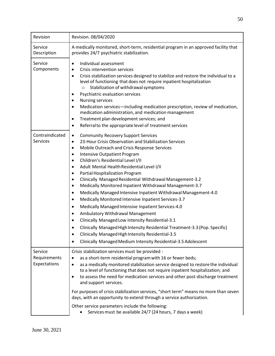| Revision                                | Revision. 08/04/2020                                                                                                                                                                                                                                                                                                                                                                                                                                                                                                                                                                                                                                                                                                                                                                                                                                                                                                                                                                                                                                                                              |
|-----------------------------------------|---------------------------------------------------------------------------------------------------------------------------------------------------------------------------------------------------------------------------------------------------------------------------------------------------------------------------------------------------------------------------------------------------------------------------------------------------------------------------------------------------------------------------------------------------------------------------------------------------------------------------------------------------------------------------------------------------------------------------------------------------------------------------------------------------------------------------------------------------------------------------------------------------------------------------------------------------------------------------------------------------------------------------------------------------------------------------------------------------|
| Service<br>Description                  | A medically monitored, short-term, residential program in an approved facility that<br>provides 24/7 psychiatric stabilization.                                                                                                                                                                                                                                                                                                                                                                                                                                                                                                                                                                                                                                                                                                                                                                                                                                                                                                                                                                   |
| Service<br>Components                   | Individual assessment<br>$\bullet$<br>Crisis intervention services<br>$\bullet$<br>Crisis stabilization services designed to stabilize and restore the individual to a<br>$\bullet$<br>level of functioning that does not require inpatient hospitalization<br>Stabilization of withdrawal symptoms<br>$\circ$<br>Psychiatric evaluation services<br><b>Nursing services</b><br>Medication services-including medication prescription, review of medication,<br>$\bullet$<br>medication administration, and medication management<br>Treatment plan development services; and<br>٠<br>Referral to the appropriate level of treatment services<br>$\bullet$                                                                                                                                                                                                                                                                                                                                                                                                                                        |
| Contraindicated<br><b>Services</b>      | <b>Community Recovery Support Services</b><br>$\bullet$<br>23-Hour Crisis Observation and Stabilization Services<br>٠<br>Mobile Outreach and Crisis Response Services<br>$\bullet$<br><b>Intensive Outpatient Program</b><br>٠<br>Children's Residential Level I/II<br>$\bullet$<br>Adult Mental Health Residential Level I/II<br>$\bullet$<br>Partial Hospitalization Program<br>$\bullet$<br>Clinically Managed Residential Withdrawal Management-3.2<br>$\bullet$<br>Medically Monitored Inpatient Withdrawal Management-3.7<br>$\bullet$<br>Medically Managed Intensive Inpatient Withdrawal Management-4.0<br>$\bullet$<br>Medically Monitored Intensive Inpatient Services-3.7<br>$\bullet$<br>Medically Managed Intensive Inpatient Services-4.0<br>$\bullet$<br>Ambulatory Withdrawal Management<br>٠<br>Clinically Managed Low Intensity Residential-3.1<br>$\bullet$<br>Clinically Managed High Intensity Residential Treatment-3.3 (Pop. Specific)<br>$\bullet$<br>Clinically Managed High Intensity Residential-3.5<br>Clinically Managed Medium Intensity Residential-3.5 Adolescent |
| Service<br>Requirements<br>Expectations | Crisis stabilization services must be provided -<br>as a short-term residential program with 16 or fewer beds;<br>$\bullet$<br>as a medically monitored stabilization service designed to restore the individual<br>$\bullet$<br>to a level of functioning that does not require inpatient hospitalization; and<br>to assess the need for medication services and other post-discharge treatment<br>$\bullet$<br>and support services.                                                                                                                                                                                                                                                                                                                                                                                                                                                                                                                                                                                                                                                            |
|                                         | For purposes of crisis stabilization services, "short term" means no more than seven<br>days, with an opportunity to extend through a service authorization.                                                                                                                                                                                                                                                                                                                                                                                                                                                                                                                                                                                                                                                                                                                                                                                                                                                                                                                                      |
|                                         | Other service parameters include the following:<br>Services must be available 24/7 (24 hours, 7 days a week)                                                                                                                                                                                                                                                                                                                                                                                                                                                                                                                                                                                                                                                                                                                                                                                                                                                                                                                                                                                      |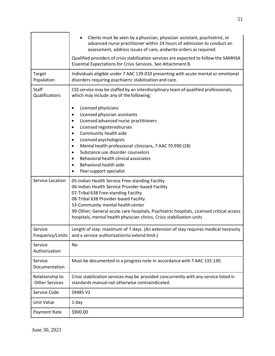|                                          | Clients must be seen by a physician, physician assistant, psychiatrist, or<br>$\bullet$<br>advanced nurse practitioner within 24 hours of admission to conduct an<br>assessment, address issues of care, andwrite orders as required.                                                                                                                                                          |
|------------------------------------------|------------------------------------------------------------------------------------------------------------------------------------------------------------------------------------------------------------------------------------------------------------------------------------------------------------------------------------------------------------------------------------------------|
|                                          | Qualified providers of crisis stabilization services are expected to follow the SAMHSA<br>Essential Expectations for Crisis Services. See Attachment B.                                                                                                                                                                                                                                        |
| Target<br>Population                     | Individuals eligible under 7 AAC 139.010 presenting with acute mental or emotional<br>disorders requiring psychiatric stabilization and care.                                                                                                                                                                                                                                                  |
| Staff<br>Qualifications                  | CSS service may be staffed by an interdisciplinary team of qualified professionals,<br>which may include any of the following;                                                                                                                                                                                                                                                                 |
|                                          | Licensed physicians<br>Licensed physician assistants<br>Licensed advanced nurse practitioners<br>$\bullet$<br>Licensed registerednurses<br>Community health aide<br>Licensed psychologists<br>Mental health professional clinicians, 7 AAC 70.990 (28)<br>Substance use disorder counselors<br>Behavioral health clinical associates<br>Behavioral health aide<br>Peer support specialist      |
| Service Location                         | 05-Indian Health Service Free-standing Facility<br>06-Indian Health Service Provider-based Facility<br>07-Tribal 638 Free-standing Facility<br>08-Tribal 638 Provider-based Facility<br>53-Community mental health center<br>99-Other; General acute care hospitals, Psychiatric hospitals, Licensed critical access<br>hospitals, mental health physician clinics, Crisis stabilization units |
| Service                                  | Length of stay: maximum of 7 days. (An extension of stay requires medical necessity<br>Frequency/Limits   and a service authorization to extend limit.)                                                                                                                                                                                                                                        |
| Service<br>Authorization                 | No                                                                                                                                                                                                                                                                                                                                                                                             |
| Service<br>Documentation                 | Must be documented in a progress note in accordance with 7 AAC 135.130.                                                                                                                                                                                                                                                                                                                        |
| Relationship to<br><b>Other Services</b> | Crisis stabilization services may be provided concurrently with any service listed in<br>standards manual not otherwise contraindicated.                                                                                                                                                                                                                                                       |
| Service Code                             | S9485 V2                                                                                                                                                                                                                                                                                                                                                                                       |
| Unit Value                               | 1 day                                                                                                                                                                                                                                                                                                                                                                                          |
| Payment Rate                             | \$900.00                                                                                                                                                                                                                                                                                                                                                                                       |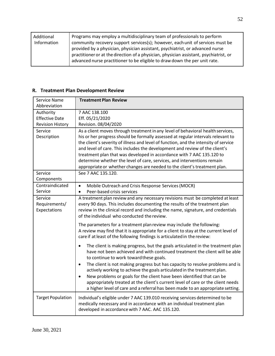| Additional<br>Information | Programs may employ a multidisciplinary team of professionals to perform<br>community recovery support services(s); however, each unit of services must be<br>provided by a physician, physician assistant, psychiatrist, or advanced nurse<br>practitioner or at the direction of a physician, physician assistant, psychiatrist, or |
|---------------------------|---------------------------------------------------------------------------------------------------------------------------------------------------------------------------------------------------------------------------------------------------------------------------------------------------------------------------------------|
|                           | advanced nurse practitioner to be eligible to draw down the per unit rate.                                                                                                                                                                                                                                                            |

#### <span id="page-51-0"></span>**R. Treatment Plan Development Review**

| Service Name             | <b>Treatment Plan Review</b>                                                                                                                                             |
|--------------------------|--------------------------------------------------------------------------------------------------------------------------------------------------------------------------|
| Abbreviation             |                                                                                                                                                                          |
| Authority                | 7 AAC 138.100                                                                                                                                                            |
| <b>Effective Date</b>    | Eff. 05/21/2020                                                                                                                                                          |
| <b>Revision History</b>  | Revision. 08/04/2020                                                                                                                                                     |
| Service                  | As a client moves through treatment in any level of behavioral health services,                                                                                          |
| Description              | his or her progress should be formally assessed at regular intervals relevant to<br>the client's severity of illness and level of function, and the intensity of service |
|                          | and level of care. This includes the development and review of the client's                                                                                              |
|                          | treatment plan that was developed in accordance with 7 AAC 135.120 to                                                                                                    |
|                          | determine whether the level of care, services, and interventions remain                                                                                                  |
|                          | appropriate or whether changes are needed to the client's treatment plan.                                                                                                |
| Service                  | See 7 AAC 135.120.                                                                                                                                                       |
| Components               |                                                                                                                                                                          |
| Contraindicated          | Mobile Outreach and Crisis Response Services (MOCR)<br>$\bullet$                                                                                                         |
| Service                  | Peer-based crisis services<br>$\bullet$                                                                                                                                  |
| Service                  | A treatment plan review and any necessary revisions must be completed at least                                                                                           |
| Requirements/            | every 90 days. This includes documenting the results of the treatment plan                                                                                               |
| Expectations             | review in the clinical record and including the name, signature, and credentials                                                                                         |
|                          | of the individual who conducted the review.                                                                                                                              |
|                          | The parameters for a treatment plan review may include the following:                                                                                                    |
|                          | A review may find that it is appropriate for a client to stay at the current level of                                                                                    |
|                          | care if at least of the following findings is articulated in the review:                                                                                                 |
|                          | The client is making progress, but the goals articulated in the treatment plan<br>$\bullet$                                                                              |
|                          | have not been achieved and with continued treatment the client will be able                                                                                              |
|                          | to continue to work toward these goals.                                                                                                                                  |
|                          | The client is not making progress but has capacity to resolve problems and is<br>$\bullet$                                                                               |
|                          | actively working to achieve the goals articulated in the treatment plan.                                                                                                 |
|                          | New problems or goals for the client have been identified that can be<br>$\bullet$                                                                                       |
|                          | appropriately treated at the client's current level of care or the client needs                                                                                          |
|                          | a higher level of care and a referral has been made to an appropriate setting.                                                                                           |
| <b>Target Population</b> | Individual's eligible under 7 AAC 139.010 receiving services determined to be                                                                                            |
|                          | medically necessary and in accordance with an individual treatment plan                                                                                                  |
|                          | developed in accordance with 7 AAC. AAC 135.120.                                                                                                                         |
|                          |                                                                                                                                                                          |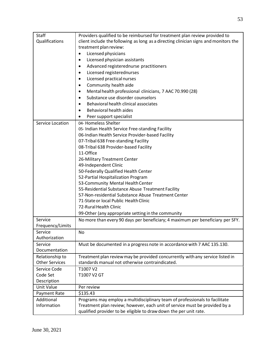| Staff                       | Providers qualified to be reimbursed for treatment plan review provided to           |
|-----------------------------|--------------------------------------------------------------------------------------|
| Qualifications              | client include the following as long as a directing clinician signs and monitors the |
|                             | treatment plan review:                                                               |
|                             | Licensed physicians<br>$\bullet$                                                     |
|                             | Licensed physician assistants<br>$\bullet$                                           |
|                             | Advanced registerednurse practitioners<br>$\bullet$                                  |
|                             | Licensed registerednurses<br>$\bullet$                                               |
|                             | Licensed practical nurses<br>$\bullet$                                               |
|                             | Community health aide<br>$\bullet$                                                   |
|                             | Mental health professional clinicians, 7 AAC 70.990 (28)<br>$\bullet$                |
|                             | Substance use disorder counselors<br>$\bullet$                                       |
|                             | Behavioral health clinical associates<br>$\bullet$                                   |
|                             | Behavioral health aides                                                              |
|                             | Peer support specialist<br>$\bullet$                                                 |
| Service Location            | 04- Homeless Shelter                                                                 |
|                             | 05- Indian Health Service Free-standing Facility                                     |
|                             | 06-Indian Health Service Provider-based Facility                                     |
|                             | 07-Tribal 638 Free-standing Facility                                                 |
|                             | 08-Tribal 638 Provider-based Facility                                                |
|                             | 11-Office                                                                            |
|                             | 26-Military Treatment Center                                                         |
|                             | 49-Independent Clinic                                                                |
|                             | 50-Federally Qualified Health Center                                                 |
|                             | 52-Partial Hospitalization Program                                                   |
|                             | 53-Community Mental Health Center                                                    |
|                             | 55-Residential Substance Abuse Treatment Facility                                    |
|                             | 57-Non-residential Substance Abuse Treatment Center                                  |
|                             | 71-State or local Public Health Clinic                                               |
|                             | 72-Rural Health Clinic                                                               |
|                             | 99-Other (any appropriate setting in the community                                   |
| Service<br>Frequency/Limits | No more than every 90 days per beneficiary; 4 maximum per beneficiary per SFY.       |
| Service                     | No                                                                                   |
| Authorization               |                                                                                      |
| Service                     | Must be documented in a progress note in accordance with 7 AAC 135.130.              |
| Documentation               |                                                                                      |
| Relationship to             | Treatment plan review may be provided concurrently with any service listed in        |
| <b>Other Services</b>       | standards manual not otherwise contraindicated.                                      |
| Service Code                | T1007 V2                                                                             |
| Code Set                    | T1007 V2 GT                                                                          |
| Description                 |                                                                                      |
| <b>Unit Value</b>           | Per review                                                                           |
| Payment Rate                | \$135.43                                                                             |
| Additional                  | Programs may employ a multidisciplinary team of professionals to facilitate          |
| Information                 | Treatment plan review; however, each unit of service must be provided by a           |
|                             | qualified provider to be eligible to draw down the per unit rate.                    |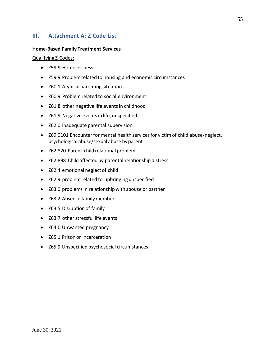#### <span id="page-54-0"></span>**III. Attachment A: Z Code List**

#### **Home-Based Family Treatment Services**

Qualifying Z-Codes:

- Z59.9 Homelessness
- Z59.9 Problemrelated to housing and economic circumstances
- Z60.1 Atypical parenting situation
- Z60.9 Problemrelated to social environment
- Z61.8 other negative life eventsin childhood
- Z61.9 Negative eventsin life, unspecified
- Z62.0 Inadequate parental supervision
- Z69.0101 Encounter for mental health services for victim of child abuse/neglect, psychological abuse/sexual abuse byparent
- Z62.820 Parent-child relational problem
- Z62.898 Child affected by parental relationship distress
- Z62.4 emotional neglect of child
- Z62.9 problemrelated to upbringing unspecified
- Z63.0 problemsin relationship with spouse or partner
- Z63.2 Absence familymember
- Z63.5 Disruption of family
- Z63.7 other stressful life events
- Z64.0 Unwanted pregnancy
- Z65.1 Prison or incarceration
- Z65.9 Unspecified psychosocial circumstances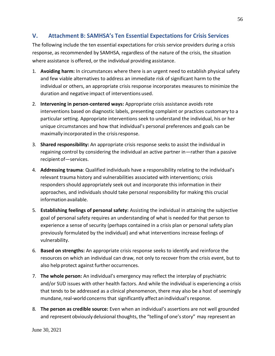### <span id="page-55-0"></span>**V. Attachment B: SAMHSA's Ten Essential Expectations for Crisis Services**

The following include the ten essential expectations for crisis service providers during a crisis response, as recommended by SAMHSA, regardless of the nature of the crisis, the situation where assistance is offered, or the individual providing assistance.

- 1. **Avoiding harm:** In circumstances where there is an urgent need to establish physical safety and few viable alternatives to address an immediate risk of significant harm to the individual or others, an appropriate crisis response incorporates measures to minimize the duration and negative impact of interventions used.
- 2. **Intervening in person-centered ways:** Appropriate crisis assistance avoids rote interventions based on diagnostic labels, presenting complaint or practices customary to a particular setting. Appropriate interventions seek to understand the individual, his or her unique circumstances and how that individual's personal preferences and goals can be maximally incorporated in the crisisresponse.
- 3. **Shared responsibility:** An appropriate crisis response seeks to assist the individual in regaining control by considering the individual an active partner in—rather than a passive recipient of—services.
- 4. **Addressing trauma**: Qualified individuals have a responsibility relating to the individual's relevant trauma history and vulnerabilities associated with interventions; crisis responders should appropriately seek out and incorporate this information in their approaches, and individuals should take personal responsibility for making this crucial information available.
- 5. **Establishing feelings of personal safety:** Assisting the individual in attaining the subjective goal of personal safety requires an understanding of what is needed for that person to experience a sense of security (perhaps contained in a crisis plan or personal safety plan previously formulated by the individual) and what interventions increase feelings of vulnerability.
- 6. **Based on strengths:** An appropriate crisis response seeks to identify and reinforce the resources on which an individual can draw, not only to recover from the crisis event, but to also help protect against further occurrences.
- 7. **The whole person:** An individual's emergency may reflect the interplay of psychiatric and/or SUD issues with other health factors. And while the individual is experiencing a crisis that tends to be addressed as a clinical phenomenon, there may also be a host of seemingly mundane, real-world concerns that significantly affect an individual's response.
- 8. **The person as credible source:** Even when an individual's assertions are not well grounded and represent obviously delusional thoughts, the "telling of one's story" may represent an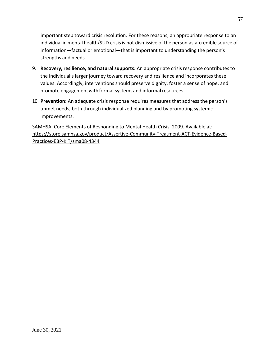important step toward crisis resolution. For these reasons, an appropriate response to an individual in mental health/SUD crisisis not dismissive of the person as a credible source of information—factual or emotional—that is important to understanding the person's strengths and needs.

- 9. **Recovery, resilience, and natural supports:** An appropriate crisis response contributes to the individual's larger journey toward recovery and resilience and incorporates these values. Accordingly, interventions should preserve dignity, foster a sense of hope, and promote engagement with formal systems and informal resources.
- 10. **Prevention:** An adequate crisis response requires measures that address the person's unmet needs, both through individualized planning and by promoting systemic improvements.

SAMHSA, Core Elements of Responding to Mental Health Crisis, 2009. Available at: https://store.samhsa.gov/product/Assertive-Community-Treatment-ACT-Evidence-Based-Practices-EBP-KIT/sma08-4344